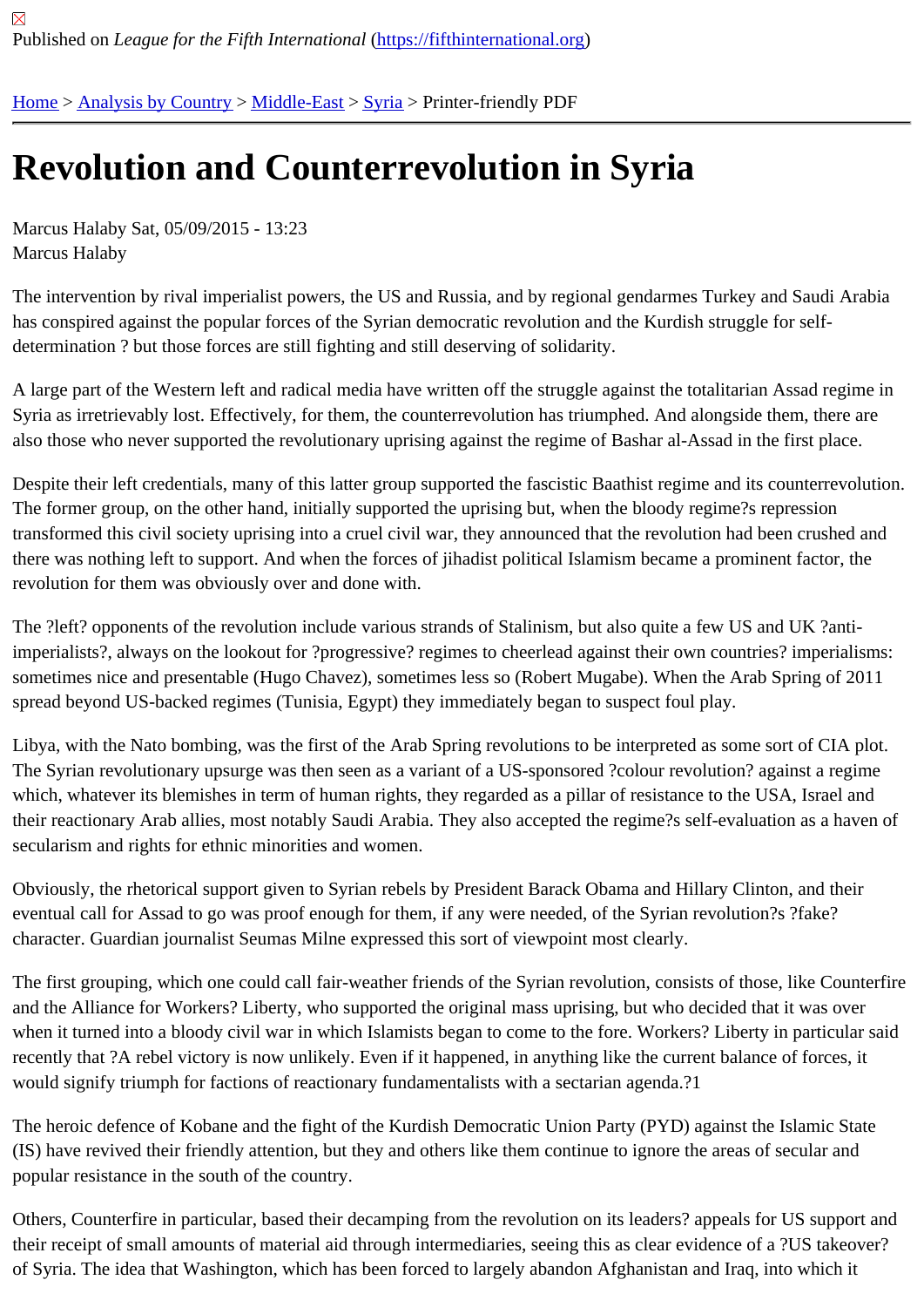# [Re](https://fifthinternational.org/)[volution an](https://fifthinternational.org/category/1)[d Coun](https://fifthinternational.org/category/1/178)[ter](https://fifthinternational.org/category/1/178/196)revolution in Syria

Marcus Halaby Sat, 05/09/2015 - 13:23 Marcus Halaby

The intervention by rival imperialist powers, the US and Russia, and by regional gendarmes Turkey and Saudi Arabia has conspired against the popular forces of the Syrian democratic revolution and the Kurdish struggle for selfdetermination ? but those forces are still fighting and still deserving of solidarity.

A large part of the Western left and radical media have written off the struggle against the totalitarian Assad regime Syria as irretrievably lost. Effectively, for them, the counterrevolution has triumphed. And alongside them, there are also those who never supported the revolutionary uprising against the regime of Bashar al-Assad in the first place.

Despite their left credentials, many of this latter group supported the fascistic Baathist regime and its counterrevolution. The former group, on the other hand, initially supported the uprising but, when the bloody regime?s repression transformed this civil society uprising into a cruel civil war, they announced that the revolution had been crushed a there was nothing left to support. And when the forces of jihadist political Islamism became a prominent factor, the revolution for them was obviously over and done with.

The ?left? opponents of the revolution include various strands of Stalinism, but also quite a few US and UK ?antiimperialists?, always on the lookout for ?progressive? regimes to cheerlead against their own countries? imperialis sometimes nice and presentable (Hugo Chavez), sometimes less so (Robert Mugabe). When the Arab Spring of 2 spread beyond US-backed regimes (Tunisia, Egypt) they immediately began to suspect foul play.

Libya, with the Nato bombing, was the first of the Arab Spring revolutions to be interpreted as some sort of CIA plo The Syrian revolutionary upsurge was then seen as a variant of a US-sponsored ?colour revolution? against a reg which, whatever its blemishes in term of human rights, they regarded as a pillar of resistance to the USA, Israel ar their reactionary Arab allies, most notably Saudi Arabia. They also accepted the regime?s self-evaluation as a hav secularism and rights for ethnic minorities and women.

Obviously, the rhetorical support given to Syrian rebels by President Barack Obama and Hillary Clinton, and their eventual call for Assad to go was proof enough for them, if any were needed, of the Syrian revolution?s ?fake? character. Guardian journalist Seumas Milne expressed this sort of viewpoint most clearly.

The first grouping, which one could call fair-weather friends of the Syrian revolution, consists of those, like Counter and the Alliance for Workers? Liberty, who supported the original mass uprising, but who decided that it was over when it turned into a bloody civil war in which Islamists began to come to the fore. Workers? Liberty in particular sa recently that ?A rebel victory is now unlikely. Even if it happened, in anything like the current balance of forces, it would signify triumph for factions of reactionary fundamentalists with a sectarian agenda.?1

The heroic defence of Kobane and the fight of the Kurdish Democratic Union Party (PYD) against the Islamic State (IS) have revived their friendly attention, but they and others like them continue to ignore the areas of secular and popular resistance in the south of the country.

Others, Counterfire in particular, based their decamping from the revolution on its leaders? appeals for US suppor their receipt of small amounts of material aid through intermediaries, seeing this as clear evidence of a ?US takeov of Syria. The idea that Washington, which has been forced to largely abandon Afghanistan and Iraq, into which it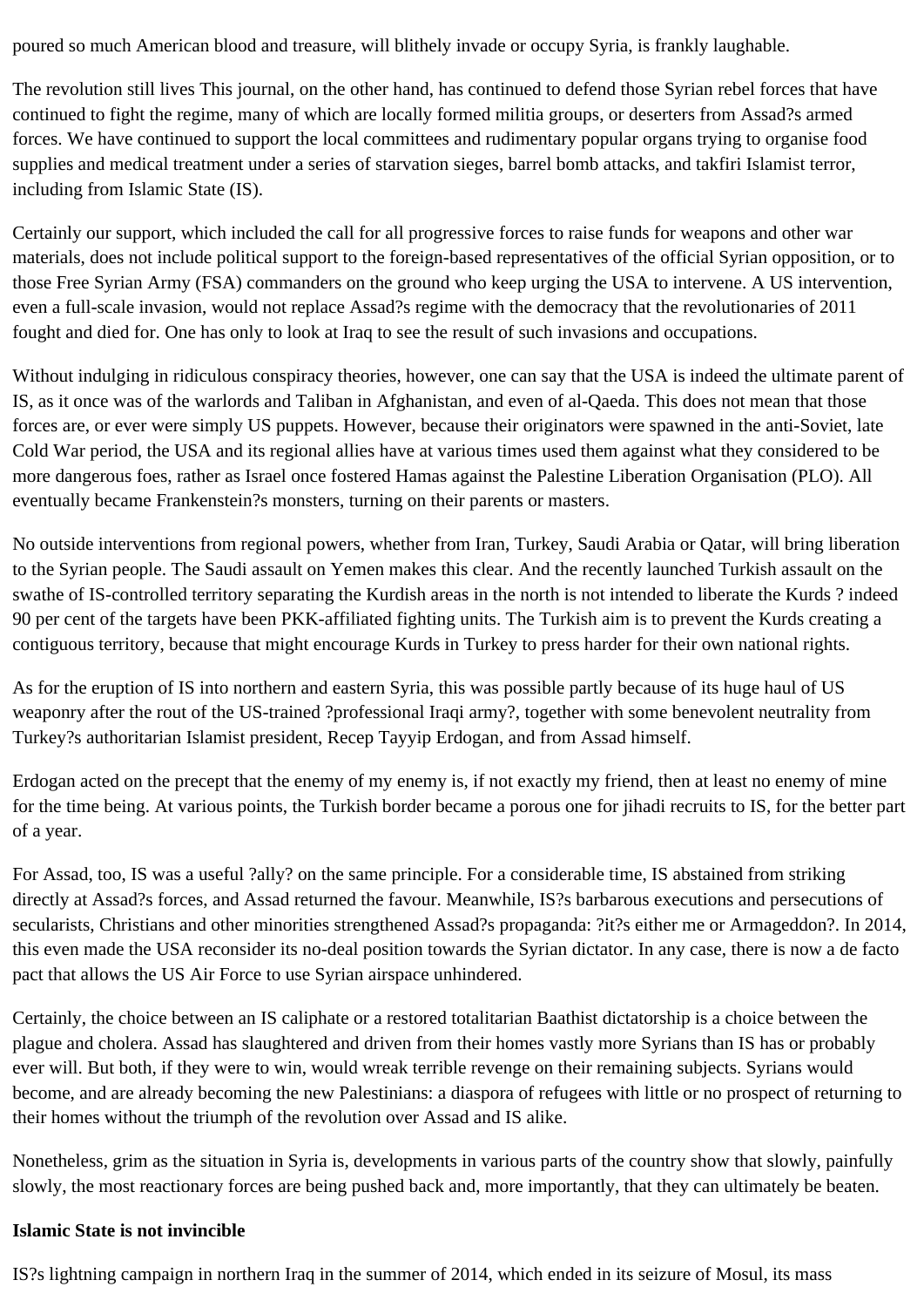poured so much American blood and treasure, will blithely invade or occupy Syria, is frankly laughable.

The revolution still lives This journal, on the other hand, has continued to defend those Syrian rebel forces that have continued to fight the regime, many of which are locally formed militia groups, or deserters from Assad?s armed forces. We have continued to support the local committees and rudimentary popular organs trying to organise food supplies and medical treatment under a series of starvation sieges, barrel bomb attacks, and takfiri Islamist terror, including from Islamic State (IS).

Certainly our support, which included the call for all progressive forces to raise funds for weapons and other war materials, does not include political support to the foreign-based representatives of the official Syrian opposition, or to those Free Syrian Army (FSA) commanders on the ground who keep urging the USA to intervene. A US intervention, even a full-scale invasion, would not replace Assad?s regime with the democracy that the revolutionaries of 2011 fought and died for. One has only to look at Iraq to see the result of such invasions and occupations.

Without indulging in ridiculous conspiracy theories, however, one can say that the USA is indeed the ultimate parent of IS, as it once was of the warlords and Taliban in Afghanistan, and even of al-Qaeda. This does not mean that those forces are, or ever were simply US puppets. However, because their originators were spawned in the anti-Soviet, late Cold War period, the USA and its regional allies have at various times used them against what they considered to be more dangerous foes, rather as Israel once fostered Hamas against the Palestine Liberation Organisation (PLO). All eventually became Frankenstein?s monsters, turning on their parents or masters.

No outside interventions from regional powers, whether from Iran, Turkey, Saudi Arabia or Qatar, will bring liberation to the Syrian people. The Saudi assault on Yemen makes this clear. And the recently launched Turkish assault on the swathe of IS-controlled territory separating the Kurdish areas in the north is not intended to liberate the Kurds ? indeed 90 per cent of the targets have been PKK-affiliated fighting units. The Turkish aim is to prevent the Kurds creating a contiguous territory, because that might encourage Kurds in Turkey to press harder for their own national rights.

As for the eruption of IS into northern and eastern Syria, this was possible partly because of its huge haul of US weaponry after the rout of the US-trained ?professional Iraqi army?, together with some benevolent neutrality from Turkey?s authoritarian Islamist president, Recep Tayyip Erdogan, and from Assad himself.

Erdogan acted on the precept that the enemy of my enemy is, if not exactly my friend, then at least no enemy of mine for the time being. At various points, the Turkish border became a porous one for jihadi recruits to IS, for the better part of a year.

For Assad, too, IS was a useful ?ally? on the same principle. For a considerable time, IS abstained from striking directly at Assad?s forces, and Assad returned the favour. Meanwhile, IS?s barbarous executions and persecutions of secularists, Christians and other minorities strengthened Assad?s propaganda: ?it?s either me or Armageddon?. In 2014, this even made the USA reconsider its no-deal position towards the Syrian dictator. In any case, there is now a de facto pact that allows the US Air Force to use Syrian airspace unhindered.

Certainly, the choice between an IS caliphate or a restored totalitarian Baathist dictatorship is a choice between the plague and cholera. Assad has slaughtered and driven from their homes vastly more Syrians than IS has or probably ever will. But both, if they were to win, would wreak terrible revenge on their remaining subjects. Syrians would become, and are already becoming the new Palestinians: a diaspora of refugees with little or no prospect of returning to their homes without the triumph of the revolution over Assad and IS alike.

Nonetheless, grim as the situation in Syria is, developments in various parts of the country show that slowly, painfully slowly, the most reactionary forces are being pushed back and, more importantly, that they can ultimately be beaten.

#### **Islamic State is not invincible**

IS?s lightning campaign in northern Iraq in the summer of 2014, which ended in its seizure of Mosul, its mass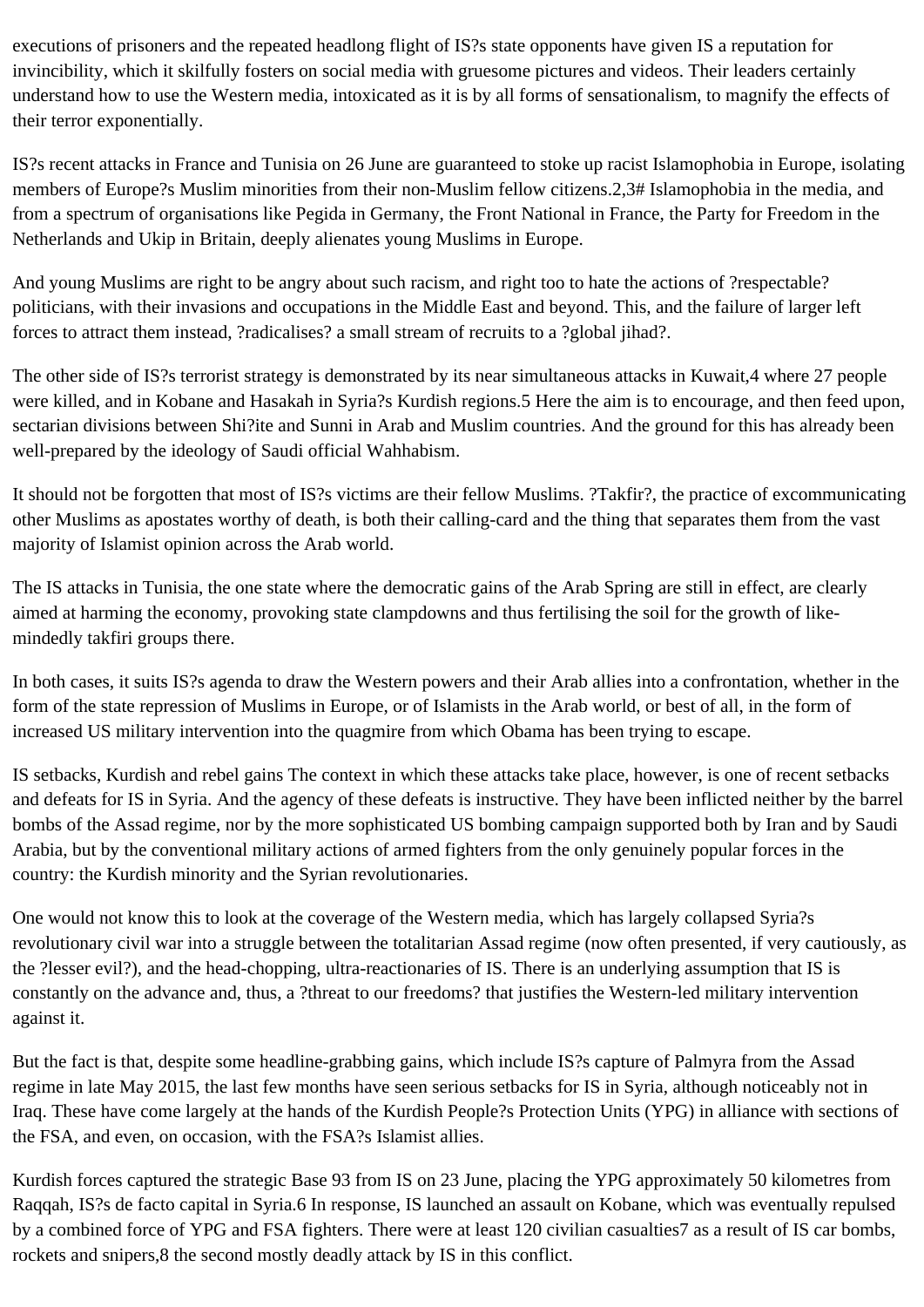executions of prisoners and the repeated headlong flight of IS?s state opponents have given IS a reputation for invincibility, which it skilfully fosters on social media with gruesome pictures and videos. Their leaders certainly understand how to use the Western media, intoxicated as it is by all forms of sensationalism, to magnify the effects of their terror exponentially.

IS?s recent attacks in France and Tunisia on 26 June are guaranteed to stoke up racist Islamophobia in Europe, isolating members of Europe?s Muslim minorities from their non-Muslim fellow citizens.2,3# Islamophobia in the media, and from a spectrum of organisations like Pegida in Germany, the Front National in France, the Party for Freedom in the Netherlands and Ukip in Britain, deeply alienates young Muslims in Europe.

And young Muslims are right to be angry about such racism, and right too to hate the actions of ?respectable? politicians, with their invasions and occupations in the Middle East and beyond. This, and the failure of larger left forces to attract them instead, ?radicalises? a small stream of recruits to a ?global jihad?.

The other side of IS?s terrorist strategy is demonstrated by its near simultaneous attacks in Kuwait,4 where 27 people were killed, and in Kobane and Hasakah in Syria?s Kurdish regions.5 Here the aim is to encourage, and then feed upon, sectarian divisions between Shi?ite and Sunni in Arab and Muslim countries. And the ground for this has already been well-prepared by the ideology of Saudi official Wahhabism.

It should not be forgotten that most of IS?s victims are their fellow Muslims. ?Takfir?, the practice of excommunicating other Muslims as apostates worthy of death, is both their calling-card and the thing that separates them from the vast majority of Islamist opinion across the Arab world.

The IS attacks in Tunisia, the one state where the democratic gains of the Arab Spring are still in effect, are clearly aimed at harming the economy, provoking state clampdowns and thus fertilising the soil for the growth of likemindedly takfiri groups there.

In both cases, it suits IS?s agenda to draw the Western powers and their Arab allies into a confrontation, whether in the form of the state repression of Muslims in Europe, or of Islamists in the Arab world, or best of all, in the form of increased US military intervention into the quagmire from which Obama has been trying to escape.

IS setbacks, Kurdish and rebel gains The context in which these attacks take place, however, is one of recent setbacks and defeats for IS in Syria. And the agency of these defeats is instructive. They have been inflicted neither by the barrel bombs of the Assad regime, nor by the more sophisticated US bombing campaign supported both by Iran and by Saudi Arabia, but by the conventional military actions of armed fighters from the only genuinely popular forces in the country: the Kurdish minority and the Syrian revolutionaries.

One would not know this to look at the coverage of the Western media, which has largely collapsed Syria?s revolutionary civil war into a struggle between the totalitarian Assad regime (now often presented, if very cautiously, as the ?lesser evil?), and the head-chopping, ultra-reactionaries of IS. There is an underlying assumption that IS is constantly on the advance and, thus, a ?threat to our freedoms? that justifies the Western-led military intervention against it.

But the fact is that, despite some headline-grabbing gains, which include IS?s capture of Palmyra from the Assad regime in late May 2015, the last few months have seen serious setbacks for IS in Syria, although noticeably not in Iraq. These have come largely at the hands of the Kurdish People?s Protection Units (YPG) in alliance with sections of the FSA, and even, on occasion, with the FSA?s Islamist allies.

Kurdish forces captured the strategic Base 93 from IS on 23 June, placing the YPG approximately 50 kilometres from Raqqah, IS?s de facto capital in Syria.6 In response, IS launched an assault on Kobane, which was eventually repulsed by a combined force of YPG and FSA fighters. There were at least 120 civilian casualties7 as a result of IS car bombs, rockets and snipers,8 the second mostly deadly attack by IS in this conflict.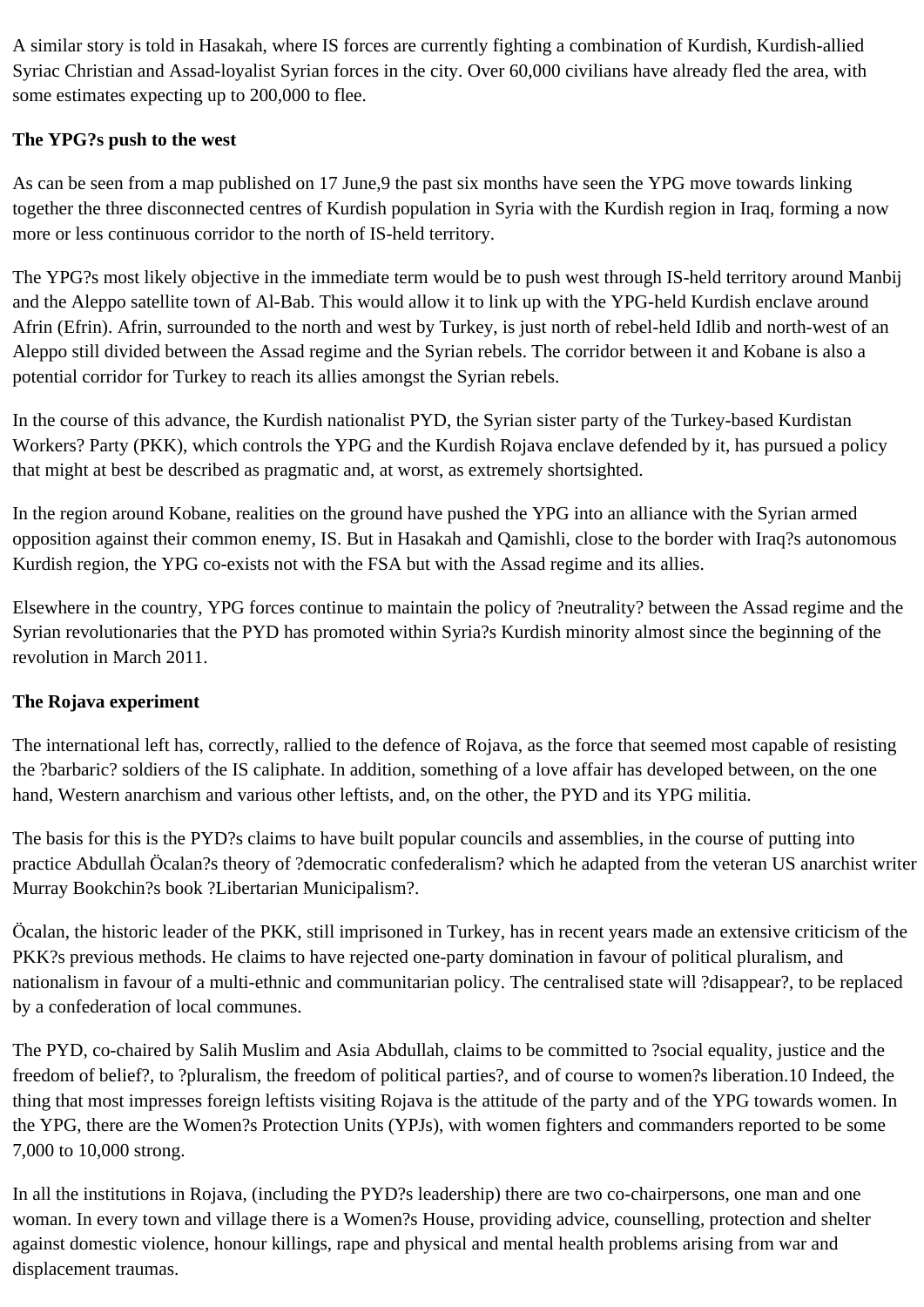A similar story is told in Hasakah, where IS forces are currently fighting a combination of Kurdish, Kurdish-allied Syriac Christian and Assad-loyalist Syrian forces in the city. Over 60,000 civilians have already fled the area, with some estimates expecting up to 200,000 to flee.

## **The YPG?s push to the west**

As can be seen from a map published on 17 June,9 the past six months have seen the YPG move towards linking together the three disconnected centres of Kurdish population in Syria with the Kurdish region in Iraq, forming a now more or less continuous corridor to the north of IS-held territory.

The YPG?s most likely objective in the immediate term would be to push west through IS-held territory around Manbij and the Aleppo satellite town of Al-Bab. This would allow it to link up with the YPG-held Kurdish enclave around Afrin (Efrin). Afrin, surrounded to the north and west by Turkey, is just north of rebel-held Idlib and north-west of an Aleppo still divided between the Assad regime and the Syrian rebels. The corridor between it and Kobane is also a potential corridor for Turkey to reach its allies amongst the Syrian rebels.

In the course of this advance, the Kurdish nationalist PYD, the Syrian sister party of the Turkey-based Kurdistan Workers? Party (PKK), which controls the YPG and the Kurdish Rojava enclave defended by it, has pursued a policy that might at best be described as pragmatic and, at worst, as extremely shortsighted.

In the region around Kobane, realities on the ground have pushed the YPG into an alliance with the Syrian armed opposition against their common enemy, IS. But in Hasakah and Qamishli, close to the border with Iraq?s autonomous Kurdish region, the YPG co-exists not with the FSA but with the Assad regime and its allies.

Elsewhere in the country, YPG forces continue to maintain the policy of ?neutrality? between the Assad regime and the Syrian revolutionaries that the PYD has promoted within Syria?s Kurdish minority almost since the beginning of the revolution in March 2011.

## **The Rojava experiment**

The international left has, correctly, rallied to the defence of Rojava, as the force that seemed most capable of resisting the ?barbaric? soldiers of the IS caliphate. In addition, something of a love affair has developed between, on the one hand, Western anarchism and various other leftists, and, on the other, the PYD and its YPG militia.

The basis for this is the PYD?s claims to have built popular councils and assemblies, in the course of putting into practice Abdullah Öcalan?s theory of ?democratic confederalism? which he adapted from the veteran US anarchist writer Murray Bookchin?s book ?Libertarian Municipalism?.

Öcalan, the historic leader of the PKK, still imprisoned in Turkey, has in recent years made an extensive criticism of the PKK?s previous methods. He claims to have rejected one-party domination in favour of political pluralism, and nationalism in favour of a multi-ethnic and communitarian policy. The centralised state will ?disappear?, to be replaced by a confederation of local communes.

The PYD, co-chaired by Salih Muslim and Asia Abdullah, claims to be committed to ?social equality, justice and the freedom of belief?, to ?pluralism, the freedom of political parties?, and of course to women?s liberation.10 Indeed, the thing that most impresses foreign leftists visiting Rojava is the attitude of the party and of the YPG towards women. In the YPG, there are the Women?s Protection Units (YPJs), with women fighters and commanders reported to be some 7,000 to 10,000 strong.

In all the institutions in Rojava, (including the PYD?s leadership) there are two co-chairpersons, one man and one woman. In every town and village there is a Women?s House, providing advice, counselling, protection and shelter against domestic violence, honour killings, rape and physical and mental health problems arising from war and displacement traumas.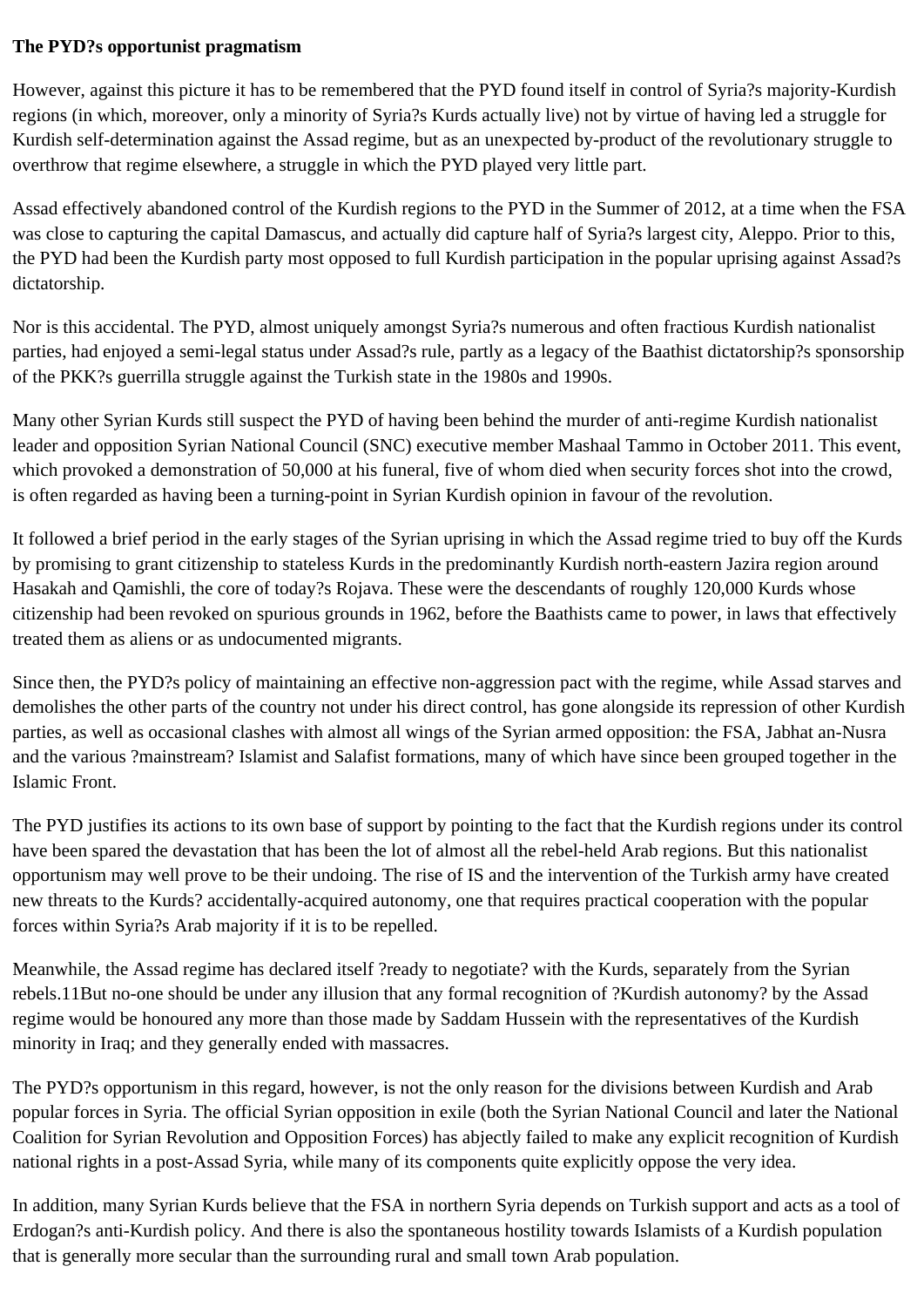## **The PYD?s opportunist pragmatism**

However, against this picture it has to be remembered that the PYD found itself in control of Syria?s majority-Kurdish regions (in which, moreover, only a minority of Syria?s Kurds actually live) not by virtue of having led a struggle for Kurdish self-determination against the Assad regime, but as an unexpected by-product of the revolutionary struggle to overthrow that regime elsewhere, a struggle in which the PYD played very little part.

Assad effectively abandoned control of the Kurdish regions to the PYD in the Summer of 2012, at a time when the FSA was close to capturing the capital Damascus, and actually did capture half of Syria?s largest city, Aleppo. Prior to this, the PYD had been the Kurdish party most opposed to full Kurdish participation in the popular uprising against Assad?s dictatorship.

Nor is this accidental. The PYD, almost uniquely amongst Syria?s numerous and often fractious Kurdish nationalist parties, had enjoyed a semi-legal status under Assad?s rule, partly as a legacy of the Baathist dictatorship?s sponsorship of the PKK?s guerrilla struggle against the Turkish state in the 1980s and 1990s.

Many other Syrian Kurds still suspect the PYD of having been behind the murder of anti-regime Kurdish nationalist leader and opposition Syrian National Council (SNC) executive member Mashaal Tammo in October 2011. This event, which provoked a demonstration of 50,000 at his funeral, five of whom died when security forces shot into the crowd, is often regarded as having been a turning-point in Syrian Kurdish opinion in favour of the revolution.

It followed a brief period in the early stages of the Syrian uprising in which the Assad regime tried to buy off the Kurds by promising to grant citizenship to stateless Kurds in the predominantly Kurdish north-eastern Jazira region around Hasakah and Qamishli, the core of today?s Rojava. These were the descendants of roughly 120,000 Kurds whose citizenship had been revoked on spurious grounds in 1962, before the Baathists came to power, in laws that effectively treated them as aliens or as undocumented migrants.

Since then, the PYD?s policy of maintaining an effective non-aggression pact with the regime, while Assad starves and demolishes the other parts of the country not under his direct control, has gone alongside its repression of other Kurdish parties, as well as occasional clashes with almost all wings of the Syrian armed opposition: the FSA, Jabhat an-Nusra and the various ?mainstream? Islamist and Salafist formations, many of which have since been grouped together in the Islamic Front.

The PYD justifies its actions to its own base of support by pointing to the fact that the Kurdish regions under its control have been spared the devastation that has been the lot of almost all the rebel-held Arab regions. But this nationalist opportunism may well prove to be their undoing. The rise of IS and the intervention of the Turkish army have created new threats to the Kurds? accidentally-acquired autonomy, one that requires practical cooperation with the popular forces within Syria?s Arab majority if it is to be repelled.

Meanwhile, the Assad regime has declared itself ?ready to negotiate? with the Kurds, separately from the Syrian rebels.11But no-one should be under any illusion that any formal recognition of ?Kurdish autonomy? by the Assad regime would be honoured any more than those made by Saddam Hussein with the representatives of the Kurdish minority in Iraq; and they generally ended with massacres.

The PYD?s opportunism in this regard, however, is not the only reason for the divisions between Kurdish and Arab popular forces in Syria. The official Syrian opposition in exile (both the Syrian National Council and later the National Coalition for Syrian Revolution and Opposition Forces) has abjectly failed to make any explicit recognition of Kurdish national rights in a post-Assad Syria, while many of its components quite explicitly oppose the very idea.

In addition, many Syrian Kurds believe that the FSA in northern Syria depends on Turkish support and acts as a tool of Erdogan?s anti-Kurdish policy. And there is also the spontaneous hostility towards Islamists of a Kurdish population that is generally more secular than the surrounding rural and small town Arab population.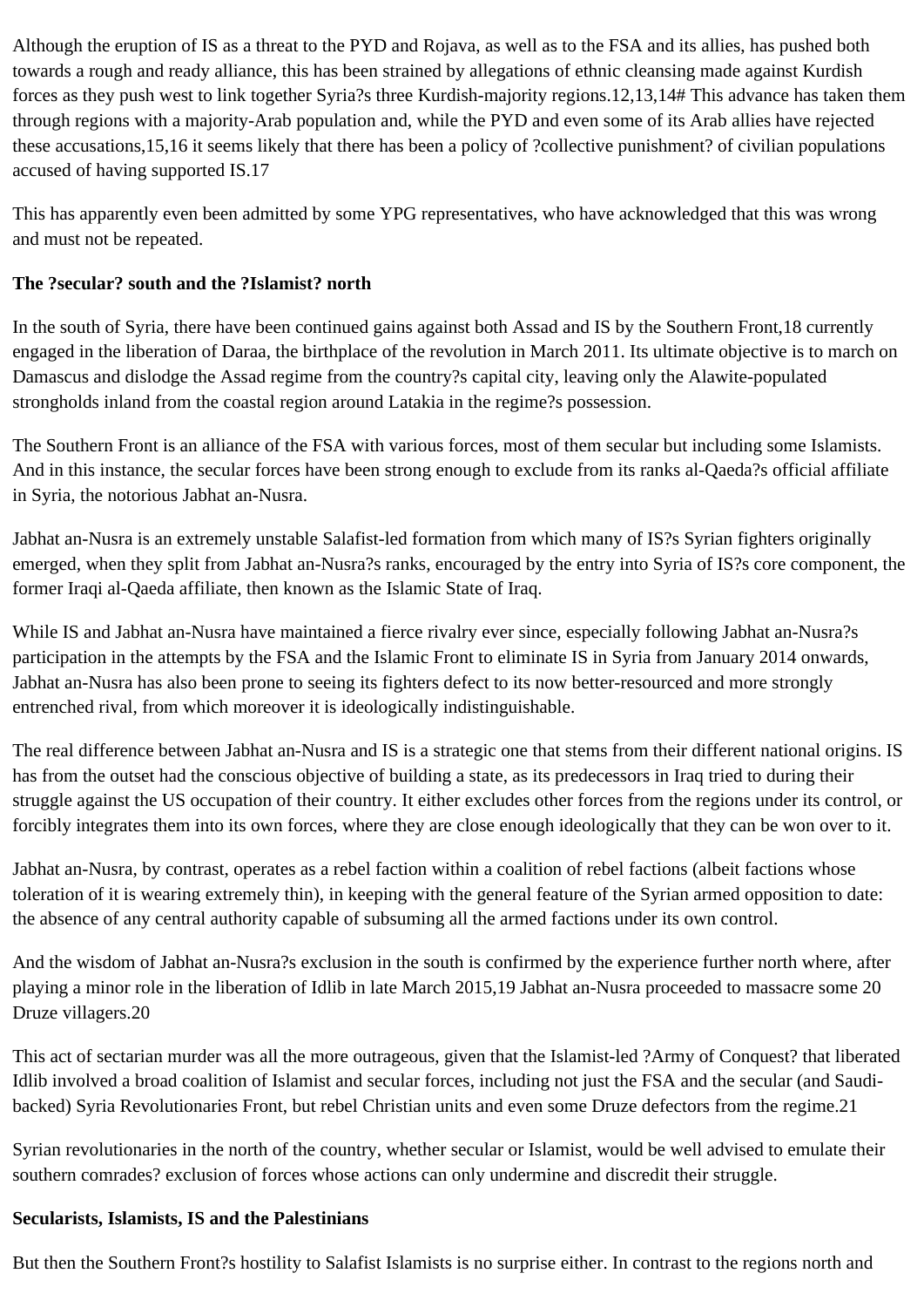Although the eruption of IS as a threat to the PYD and Rojava, as well as to the FSA and its allies, has pushed both towards a rough and ready alliance, this has been strained by allegations of ethnic cleansing made against Kurdish forces as they push west to link together Syria?s three Kurdish-majority regions.12,13,14# This advance has taken them through regions with a majority-Arab population and, while the PYD and even some of its Arab allies have rejected these accusations,15,16 it seems likely that there has been a policy of ?collective punishment? of civilian populations accused of having supported IS.17

This has apparently even been admitted by some YPG representatives, who have acknowledged that this was wrong and must not be repeated.

#### **The ?secular? south and the ?Islamist? north**

In the south of Syria, there have been continued gains against both Assad and IS by the Southern Front,18 currently engaged in the liberation of Daraa, the birthplace of the revolution in March 2011. Its ultimate objective is to march on Damascus and dislodge the Assad regime from the country?s capital city, leaving only the Alawite-populated strongholds inland from the coastal region around Latakia in the regime?s possession.

The Southern Front is an alliance of the FSA with various forces, most of them secular but including some Islamists. And in this instance, the secular forces have been strong enough to exclude from its ranks al-Qaeda?s official affiliate in Syria, the notorious Jabhat an-Nusra.

Jabhat an-Nusra is an extremely unstable Salafist-led formation from which many of IS?s Syrian fighters originally emerged, when they split from Jabhat an-Nusra?s ranks, encouraged by the entry into Syria of IS?s core component, the former Iraqi al-Qaeda affiliate, then known as the Islamic State of Iraq.

While IS and Jabhat an-Nusra have maintained a fierce rivalry ever since, especially following Jabhat an-Nusra?s participation in the attempts by the FSA and the Islamic Front to eliminate IS in Syria from January 2014 onwards, Jabhat an-Nusra has also been prone to seeing its fighters defect to its now better-resourced and more strongly entrenched rival, from which moreover it is ideologically indistinguishable.

The real difference between Jabhat an-Nusra and IS is a strategic one that stems from their different national origins. IS has from the outset had the conscious objective of building a state, as its predecessors in Iraq tried to during their struggle against the US occupation of their country. It either excludes other forces from the regions under its control, or forcibly integrates them into its own forces, where they are close enough ideologically that they can be won over to it.

Jabhat an-Nusra, by contrast, operates as a rebel faction within a coalition of rebel factions (albeit factions whose toleration of it is wearing extremely thin), in keeping with the general feature of the Syrian armed opposition to date: the absence of any central authority capable of subsuming all the armed factions under its own control.

And the wisdom of Jabhat an-Nusra?s exclusion in the south is confirmed by the experience further north where, after playing a minor role in the liberation of Idlib in late March 2015,19 Jabhat an-Nusra proceeded to massacre some 20 Druze villagers.20

This act of sectarian murder was all the more outrageous, given that the Islamist-led ?Army of Conquest? that liberated Idlib involved a broad coalition of Islamist and secular forces, including not just the FSA and the secular (and Saudibacked) Syria Revolutionaries Front, but rebel Christian units and even some Druze defectors from the regime.21

Syrian revolutionaries in the north of the country, whether secular or Islamist, would be well advised to emulate their southern comrades? exclusion of forces whose actions can only undermine and discredit their struggle.

#### **Secularists, Islamists, IS and the Palestinians**

But then the Southern Front?s hostility to Salafist Islamists is no surprise either. In contrast to the regions north and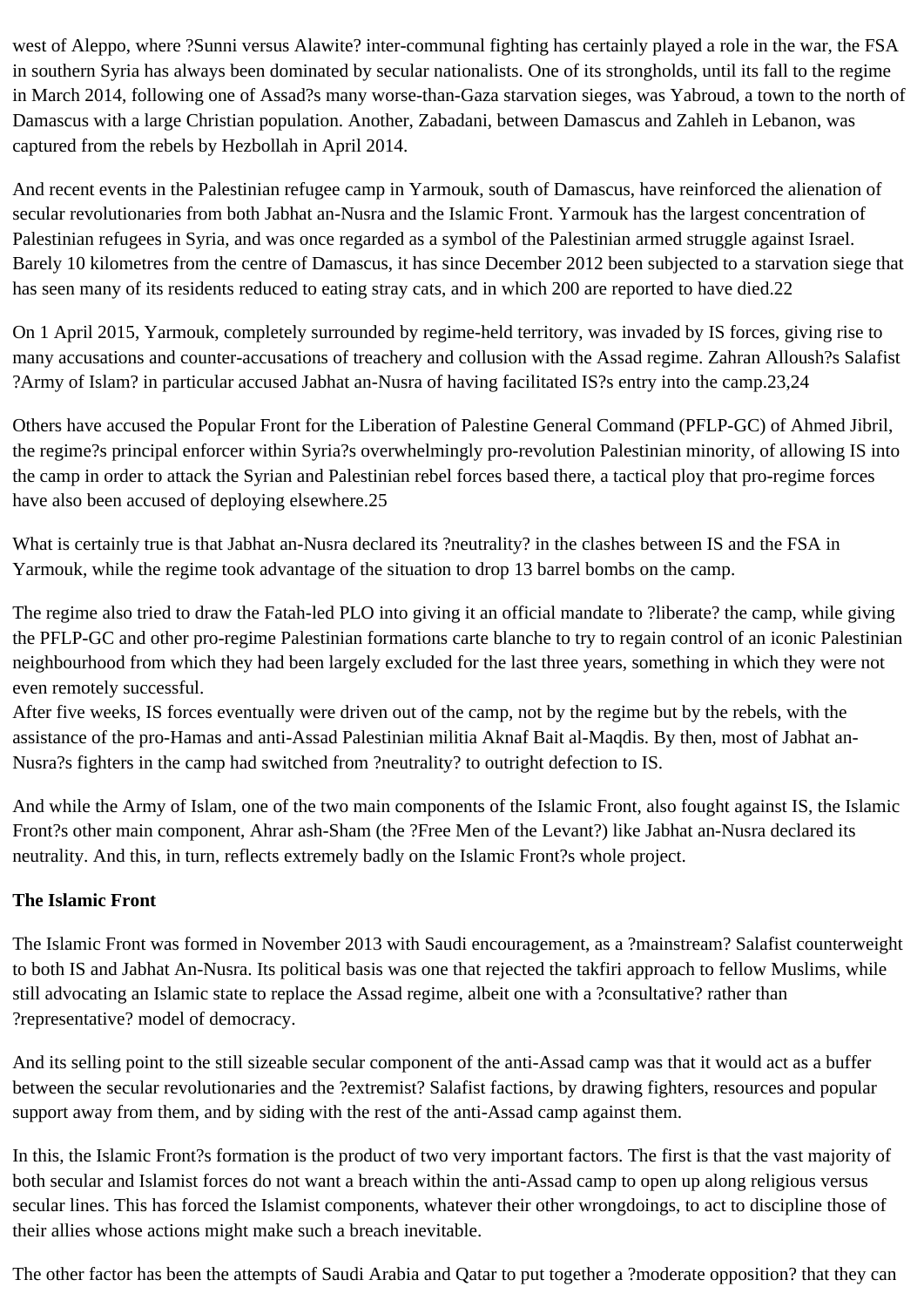west of Aleppo, where ?Sunni versus Alawite? inter-communal fighting has certainly played a role in the war, the FSA in southern Syria has always been dominated by secular nationalists. One of its strongholds, until its fall to the regime in March 2014, following one of Assad?s many worse-than-Gaza starvation sieges, was Yabroud, a town to the north of Damascus with a large Christian population. Another, Zabadani, between Damascus and Zahleh in Lebanon, was captured from the rebels by Hezbollah in April 2014.

And recent events in the Palestinian refugee camp in Yarmouk, south of Damascus, have reinforced the alienation of secular revolutionaries from both Jabhat an-Nusra and the Islamic Front. Yarmouk has the largest concentration of Palestinian refugees in Syria, and was once regarded as a symbol of the Palestinian armed struggle against Israel. Barely 10 kilometres from the centre of Damascus, it has since December 2012 been subjected to a starvation siege that has seen many of its residents reduced to eating stray cats, and in which 200 are reported to have died.22

On 1 April 2015, Yarmouk, completely surrounded by regime-held territory, was invaded by IS forces, giving rise to many accusations and counter-accusations of treachery and collusion with the Assad regime. Zahran Alloush?s Salafist ?Army of Islam? in particular accused Jabhat an-Nusra of having facilitated IS?s entry into the camp.23,24

Others have accused the Popular Front for the Liberation of Palestine General Command (PFLP-GC) of Ahmed Jibril, the regime?s principal enforcer within Syria?s overwhelmingly pro-revolution Palestinian minority, of allowing IS into the camp in order to attack the Syrian and Palestinian rebel forces based there, a tactical ploy that pro-regime forces have also been accused of deploying elsewhere.25

What is certainly true is that Jabhat an-Nusra declared its ?neutrality? in the clashes between IS and the FSA in Yarmouk, while the regime took advantage of the situation to drop 13 barrel bombs on the camp.

The regime also tried to draw the Fatah-led PLO into giving it an official mandate to ?liberate? the camp, while giving the PFLP-GC and other pro-regime Palestinian formations carte blanche to try to regain control of an iconic Palestinian neighbourhood from which they had been largely excluded for the last three years, something in which they were not even remotely successful.

After five weeks, IS forces eventually were driven out of the camp, not by the regime but by the rebels, with the assistance of the pro-Hamas and anti-Assad Palestinian militia Aknaf Bait al-Maqdis. By then, most of Jabhat an-Nusra?s fighters in the camp had switched from ?neutrality? to outright defection to IS.

And while the Army of Islam, one of the two main components of the Islamic Front, also fought against IS, the Islamic Front?s other main component, Ahrar ash-Sham (the ?Free Men of the Levant?) like Jabhat an-Nusra declared its neutrality. And this, in turn, reflects extremely badly on the Islamic Front?s whole project.

#### **The Islamic Front**

The Islamic Front was formed in November 2013 with Saudi encouragement, as a ?mainstream? Salafist counterweight to both IS and Jabhat An-Nusra. Its political basis was one that rejected the takfiri approach to fellow Muslims, while still advocating an Islamic state to replace the Assad regime, albeit one with a ?consultative? rather than ?representative? model of democracy.

And its selling point to the still sizeable secular component of the anti-Assad camp was that it would act as a buffer between the secular revolutionaries and the ?extremist? Salafist factions, by drawing fighters, resources and popular support away from them, and by siding with the rest of the anti-Assad camp against them.

In this, the Islamic Front?s formation is the product of two very important factors. The first is that the vast majority of both secular and Islamist forces do not want a breach within the anti-Assad camp to open up along religious versus secular lines. This has forced the Islamist components, whatever their other wrongdoings, to act to discipline those of their allies whose actions might make such a breach inevitable.

The other factor has been the attempts of Saudi Arabia and Qatar to put together a ?moderate opposition? that they can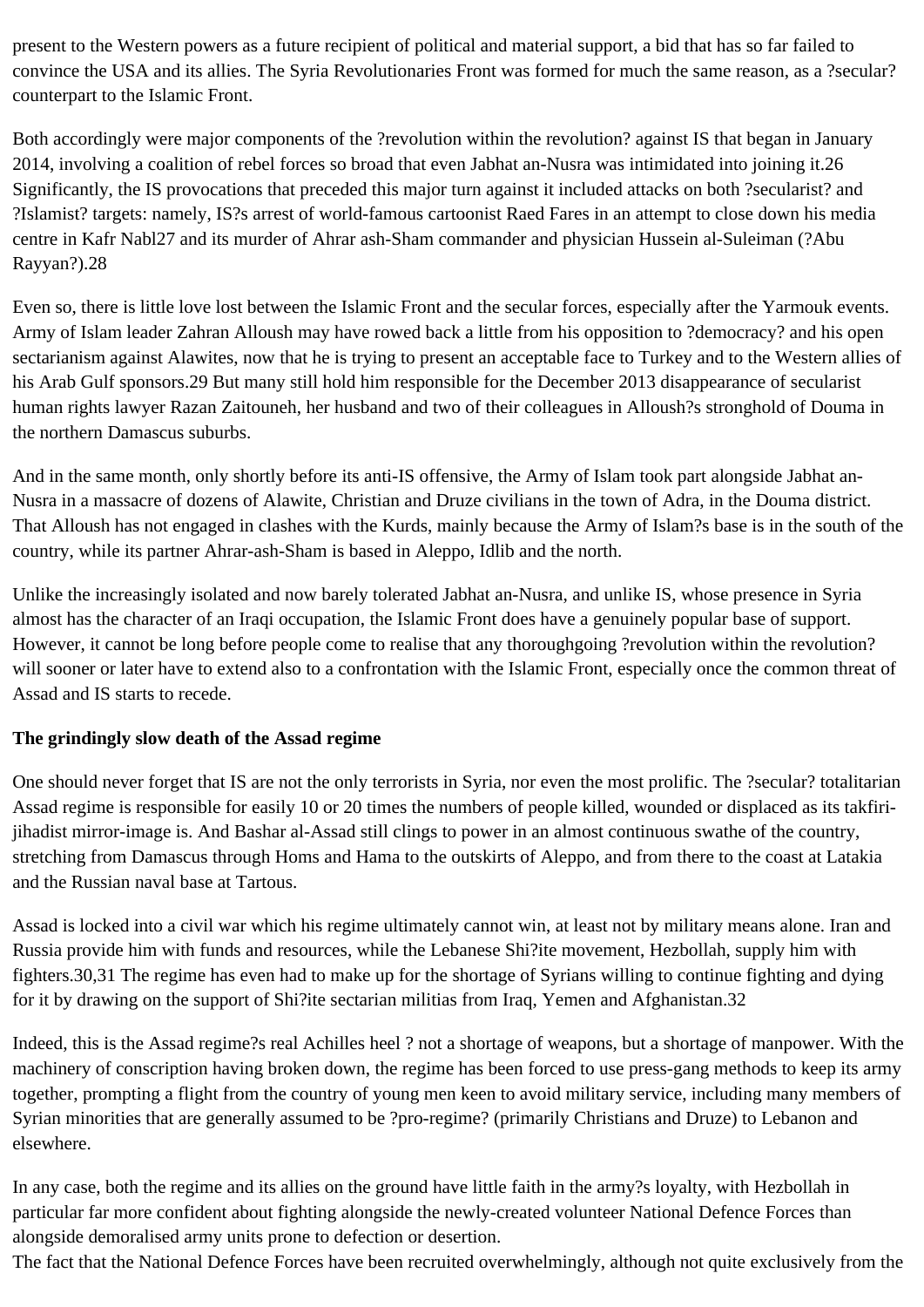present to the Western powers as a future recipient of political and material support, a bid that has so far failed to convince the USA and its allies. The Syria Revolutionaries Front was formed for much the same reason, as a ?secular? counterpart to the Islamic Front.

Both accordingly were major components of the ?revolution within the revolution? against IS that began in January 2014, involving a coalition of rebel forces so broad that even Jabhat an-Nusra was intimidated into joining it.26 Significantly, the IS provocations that preceded this major turn against it included attacks on both ?secularist? and ?Islamist? targets: namely, IS?s arrest of world-famous cartoonist Raed Fares in an attempt to close down his media centre in Kafr Nabl27 and its murder of Ahrar ash-Sham commander and physician Hussein al-Suleiman (?Abu Rayyan?).28

Even so, there is little love lost between the Islamic Front and the secular forces, especially after the Yarmouk events. Army of Islam leader Zahran Alloush may have rowed back a little from his opposition to ?democracy? and his open sectarianism against Alawites, now that he is trying to present an acceptable face to Turkey and to the Western allies of his Arab Gulf sponsors.29 But many still hold him responsible for the December 2013 disappearance of secularist human rights lawyer Razan Zaitouneh, her husband and two of their colleagues in Alloush?s stronghold of Douma in the northern Damascus suburbs.

And in the same month, only shortly before its anti-IS offensive, the Army of Islam took part alongside Jabhat an-Nusra in a massacre of dozens of Alawite, Christian and Druze civilians in the town of Adra, in the Douma district. That Alloush has not engaged in clashes with the Kurds, mainly because the Army of Islam?s base is in the south of the country, while its partner Ahrar-ash-Sham is based in Aleppo, Idlib and the north.

Unlike the increasingly isolated and now barely tolerated Jabhat an-Nusra, and unlike IS, whose presence in Syria almost has the character of an Iraqi occupation, the Islamic Front does have a genuinely popular base of support. However, it cannot be long before people come to realise that any thoroughgoing ?revolution within the revolution? will sooner or later have to extend also to a confrontation with the Islamic Front, especially once the common threat of Assad and IS starts to recede.

## **The grindingly slow death of the Assad regime**

One should never forget that IS are not the only terrorists in Syria, nor even the most prolific. The ?secular? totalitarian Assad regime is responsible for easily 10 or 20 times the numbers of people killed, wounded or displaced as its takfirijihadist mirror-image is. And Bashar al-Assad still clings to power in an almost continuous swathe of the country, stretching from Damascus through Homs and Hama to the outskirts of Aleppo, and from there to the coast at Latakia and the Russian naval base at Tartous.

Assad is locked into a civil war which his regime ultimately cannot win, at least not by military means alone. Iran and Russia provide him with funds and resources, while the Lebanese Shi?ite movement, Hezbollah, supply him with fighters.30,31 The regime has even had to make up for the shortage of Syrians willing to continue fighting and dying for it by drawing on the support of Shi?ite sectarian militias from Iraq, Yemen and Afghanistan.32

Indeed, this is the Assad regime?s real Achilles heel ? not a shortage of weapons, but a shortage of manpower. With the machinery of conscription having broken down, the regime has been forced to use press-gang methods to keep its army together, prompting a flight from the country of young men keen to avoid military service, including many members of Syrian minorities that are generally assumed to be ?pro-regime? (primarily Christians and Druze) to Lebanon and elsewhere.

In any case, both the regime and its allies on the ground have little faith in the army?s loyalty, with Hezbollah in particular far more confident about fighting alongside the newly-created volunteer National Defence Forces than alongside demoralised army units prone to defection or desertion.

The fact that the National Defence Forces have been recruited overwhelmingly, although not quite exclusively from the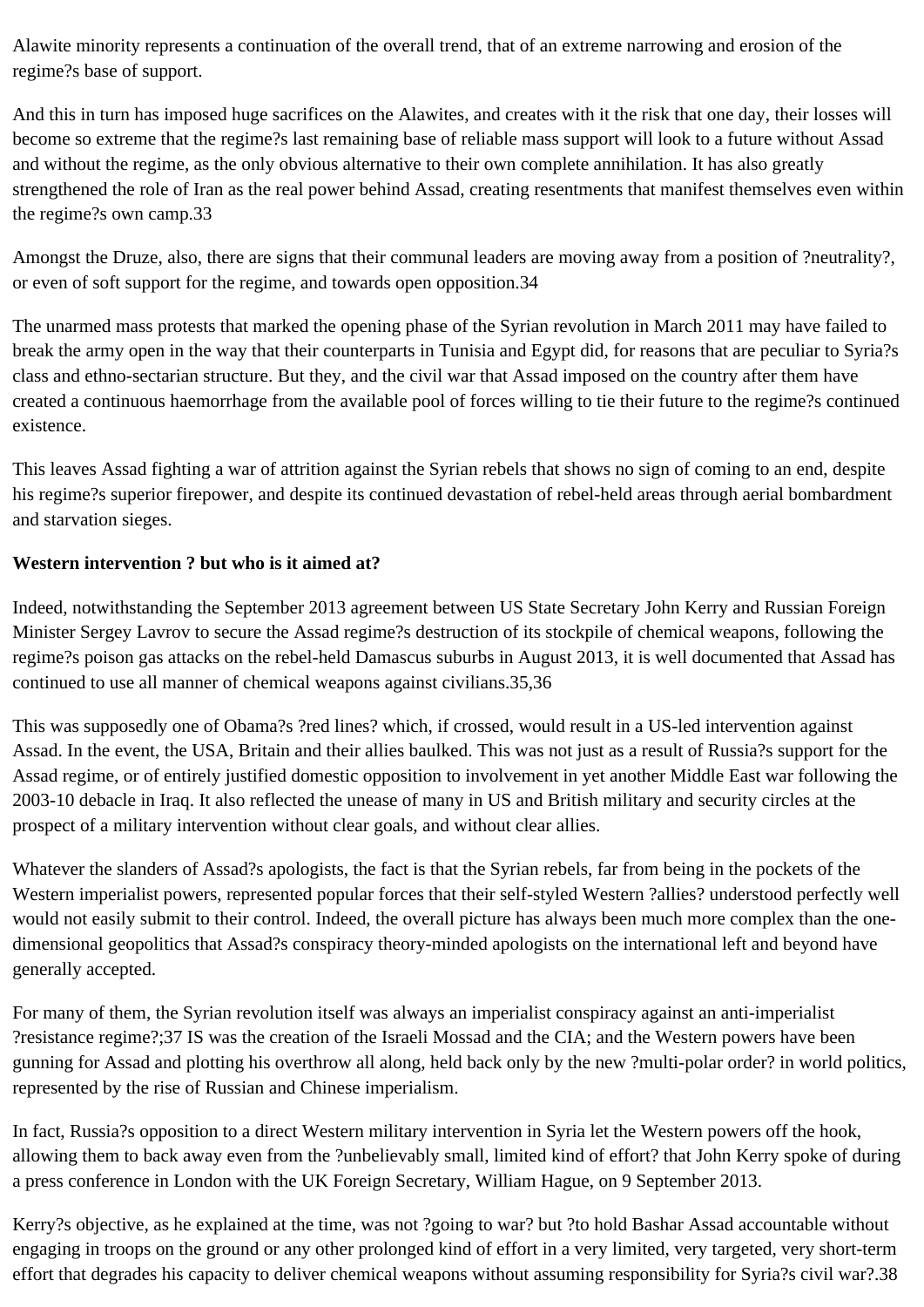Alawite minority represents a continuation of the overall trend, that of an extreme narrowing and erosion of the regime?s base of support.

And this in turn has imposed huge sacrifices on the Alawites, and creates with it the risk that one day, their losses will become so extreme that the regime?s last remaining base of reliable mass support will look to a future without Assad and without the regime, as the only obvious alternative to their own complete annihilation. It has also greatly strengthened the role of Iran as the real power behind Assad, creating resentments that manifest themselves even within the regime?s own camp.33

Amongst the Druze, also, there are signs that their communal leaders are moving away from a position of ?neutrality?, or even of soft support for the regime, and towards open opposition.34

The unarmed mass protests that marked the opening phase of the Syrian revolution in March 2011 may have failed to break the army open in the way that their counterparts in Tunisia and Egypt did, for reasons that are peculiar to Syria?s class and ethno-sectarian structure. But they, and the civil war that Assad imposed on the country after them have created a continuous haemorrhage from the available pool of forces willing to tie their future to the regime?s continued existence.

This leaves Assad fighting a war of attrition against the Syrian rebels that shows no sign of coming to an end, despite his regime?s superior firepower, and despite its continued devastation of rebel-held areas through aerial bombardment and starvation sieges.

## **Western intervention ? but who is it aimed at?**

Indeed, notwithstanding the September 2013 agreement between US State Secretary John Kerry and Russian Foreign Minister Sergey Lavrov to secure the Assad regime?s destruction of its stockpile of chemical weapons, following the regime?s poison gas attacks on the rebel-held Damascus suburbs in August 2013, it is well documented that Assad has continued to use all manner of chemical weapons against civilians.35,36

This was supposedly one of Obama?s ?red lines? which, if crossed, would result in a US-led intervention against Assad. In the event, the USA, Britain and their allies baulked. This was not just as a result of Russia?s support for the Assad regime, or of entirely justified domestic opposition to involvement in yet another Middle East war following the 2003-10 debacle in Iraq. It also reflected the unease of many in US and British military and security circles at the prospect of a military intervention without clear goals, and without clear allies.

Whatever the slanders of Assad?s apologists, the fact is that the Syrian rebels, far from being in the pockets of the Western imperialist powers, represented popular forces that their self-styled Western ?allies? understood perfectly well would not easily submit to their control. Indeed, the overall picture has always been much more complex than the onedimensional geopolitics that Assad?s conspiracy theory-minded apologists on the international left and beyond have generally accepted.

For many of them, the Syrian revolution itself was always an imperialist conspiracy against an anti-imperialist ?resistance regime?;37 IS was the creation of the Israeli Mossad and the CIA; and the Western powers have been gunning for Assad and plotting his overthrow all along, held back only by the new ?multi-polar order? in world politics, represented by the rise of Russian and Chinese imperialism.

In fact, Russia?s opposition to a direct Western military intervention in Syria let the Western powers off the hook, allowing them to back away even from the ?unbelievably small, limited kind of effort? that John Kerry spoke of during a press conference in London with the UK Foreign Secretary, William Hague, on 9 September 2013.

Kerry?s objective, as he explained at the time, was not ?going to war? but ?to hold Bashar Assad accountable without engaging in troops on the ground or any other prolonged kind of effort in a very limited, very targeted, very short-term effort that degrades his capacity to deliver chemical weapons without assuming responsibility for Syria?s civil war?.38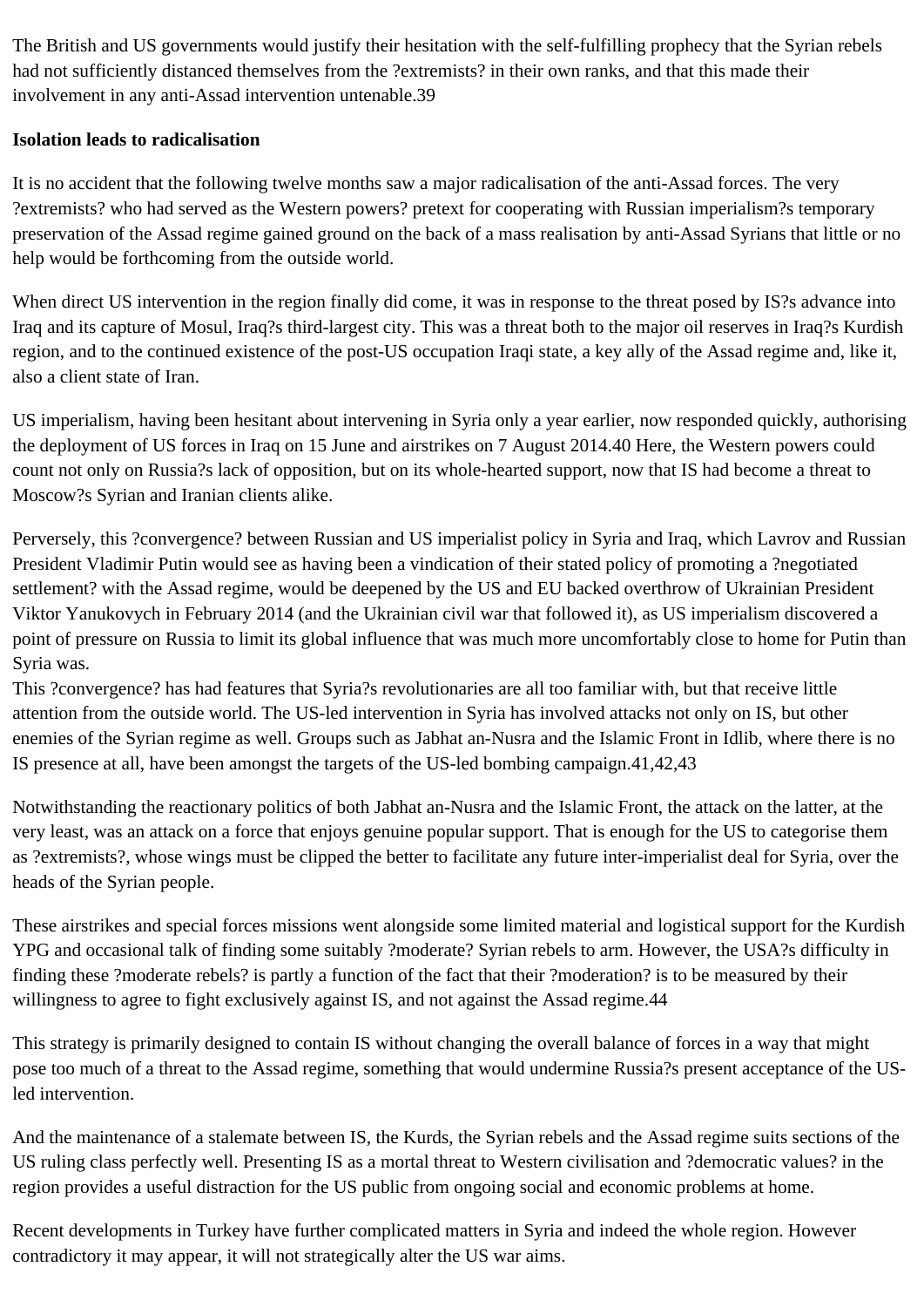The British and US governments would justify their hesitation with the self-fulfilling prophecy that the Syrian rebels had not sufficiently distanced themselves from the ?extremists? in their own ranks, and that this made their involvement in any anti-Assad intervention untenable.39

## **Isolation leads to radicalisation**

It is no accident that the following twelve months saw a major radicalisation of the anti-Assad forces. The very ?extremists? who had served as the Western powers? pretext for cooperating with Russian imperialism?s temporary preservation of the Assad regime gained ground on the back of a mass realisation by anti-Assad Syrians that little or no help would be forthcoming from the outside world.

When direct US intervention in the region finally did come, it was in response to the threat posed by IS?s advance into Iraq and its capture of Mosul, Iraq?s third-largest city. This was a threat both to the major oil reserves in Iraq?s Kurdish region, and to the continued existence of the post-US occupation Iraqi state, a key ally of the Assad regime and, like it, also a client state of Iran.

US imperialism, having been hesitant about intervening in Syria only a year earlier, now responded quickly, authorising the deployment of US forces in Iraq on 15 June and airstrikes on 7 August 2014.40 Here, the Western powers could count not only on Russia?s lack of opposition, but on its whole-hearted support, now that IS had become a threat to Moscow?s Syrian and Iranian clients alike.

Perversely, this ?convergence? between Russian and US imperialist policy in Syria and Iraq, which Lavrov and Russian President Vladimir Putin would see as having been a vindication of their stated policy of promoting a ?negotiated settlement? with the Assad regime, would be deepened by the US and EU backed overthrow of Ukrainian President Viktor Yanukovych in February 2014 (and the Ukrainian civil war that followed it), as US imperialism discovered a point of pressure on Russia to limit its global influence that was much more uncomfortably close to home for Putin than Syria was.

This ?convergence? has had features that Syria?s revolutionaries are all too familiar with, but that receive little attention from the outside world. The US-led intervention in Syria has involved attacks not only on IS, but other enemies of the Syrian regime as well. Groups such as Jabhat an-Nusra and the Islamic Front in Idlib, where there is no IS presence at all, have been amongst the targets of the US-led bombing campaign.41,42,43

Notwithstanding the reactionary politics of both Jabhat an-Nusra and the Islamic Front, the attack on the latter, at the very least, was an attack on a force that enjoys genuine popular support. That is enough for the US to categorise them as ?extremists?, whose wings must be clipped the better to facilitate any future inter-imperialist deal for Syria, over the heads of the Syrian people.

These airstrikes and special forces missions went alongside some limited material and logistical support for the Kurdish YPG and occasional talk of finding some suitably ?moderate? Syrian rebels to arm. However, the USA?s difficulty in finding these ?moderate rebels? is partly a function of the fact that their ?moderation? is to be measured by their willingness to agree to fight exclusively against IS, and not against the Assad regime.44

This strategy is primarily designed to contain IS without changing the overall balance of forces in a way that might pose too much of a threat to the Assad regime, something that would undermine Russia?s present acceptance of the USled intervention.

And the maintenance of a stalemate between IS, the Kurds, the Syrian rebels and the Assad regime suits sections of the US ruling class perfectly well. Presenting IS as a mortal threat to Western civilisation and ?democratic values? in the region provides a useful distraction for the US public from ongoing social and economic problems at home.

Recent developments in Turkey have further complicated matters in Syria and indeed the whole region. However contradictory it may appear, it will not strategically alter the US war aims.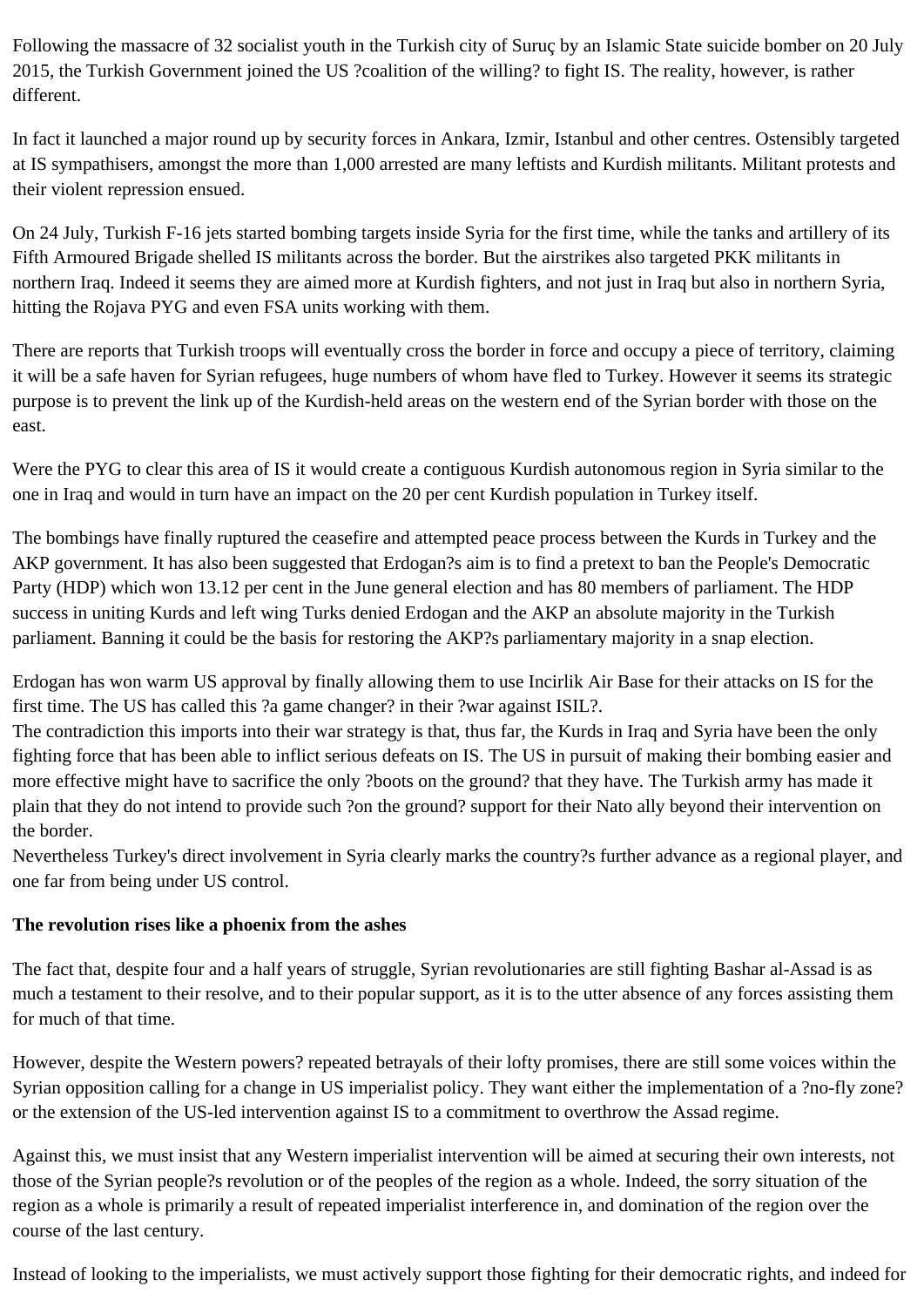Following the massacre of 32 socialist youth in the Turkish city of Suruç by an Islamic State suicide bomber on 20 July 2015, the Turkish Government joined the US ?coalition of the willing? to fight IS. The reality, however, is rather different.

In fact it launched a major round up by security forces in Ankara, Izmir, Istanbul and other centres. Ostensibly targeted at IS sympathisers, amongst the more than 1,000 arrested are many leftists and Kurdish militants. Militant protests and their violent repression ensued.

On 24 July, Turkish F-16 jets started bombing targets inside Syria for the first time, while the tanks and artillery of its Fifth Armoured Brigade shelled IS militants across the border. But the airstrikes also targeted PKK militants in northern Iraq. Indeed it seems they are aimed more at Kurdish fighters, and not just in Iraq but also in northern Syria, hitting the Rojava PYG and even FSA units working with them.

There are reports that Turkish troops will eventually cross the border in force and occupy a piece of territory, claiming it will be a safe haven for Syrian refugees, huge numbers of whom have fled to Turkey. However it seems its strategic purpose is to prevent the link up of the Kurdish-held areas on the western end of the Syrian border with those on the east.

Were the PYG to clear this area of IS it would create a contiguous Kurdish autonomous region in Syria similar to the one in Iraq and would in turn have an impact on the 20 per cent Kurdish population in Turkey itself.

The bombings have finally ruptured the ceasefire and attempted peace process between the Kurds in Turkey and the AKP government. It has also been suggested that Erdogan?s aim is to find a pretext to ban the People's Democratic Party (HDP) which won 13.12 per cent in the June general election and has 80 members of parliament. The HDP success in uniting Kurds and left wing Turks denied Erdogan and the AKP an absolute majority in the Turkish parliament. Banning it could be the basis for restoring the AKP?s parliamentary majority in a snap election.

Erdogan has won warm US approval by finally allowing them to use Incirlik Air Base for their attacks on IS for the first time. The US has called this ?a game changer? in their ?war against ISIL?.

The contradiction this imports into their war strategy is that, thus far, the Kurds in Iraq and Syria have been the only fighting force that has been able to inflict serious defeats on IS. The US in pursuit of making their bombing easier and more effective might have to sacrifice the only ?boots on the ground? that they have. The Turkish army has made it plain that they do not intend to provide such ?on the ground? support for their Nato ally beyond their intervention on the border.

Nevertheless Turkey's direct involvement in Syria clearly marks the country?s further advance as a regional player, and one far from being under US control.

#### **The revolution rises like a phoenix from the ashes**

The fact that, despite four and a half years of struggle, Syrian revolutionaries are still fighting Bashar al-Assad is as much a testament to their resolve, and to their popular support, as it is to the utter absence of any forces assisting them for much of that time.

However, despite the Western powers? repeated betrayals of their lofty promises, there are still some voices within the Syrian opposition calling for a change in US imperialist policy. They want either the implementation of a ?no-fly zone? or the extension of the US-led intervention against IS to a commitment to overthrow the Assad regime.

Against this, we must insist that any Western imperialist intervention will be aimed at securing their own interests, not those of the Syrian people?s revolution or of the peoples of the region as a whole. Indeed, the sorry situation of the region as a whole is primarily a result of repeated imperialist interference in, and domination of the region over the course of the last century.

Instead of looking to the imperialists, we must actively support those fighting for their democratic rights, and indeed for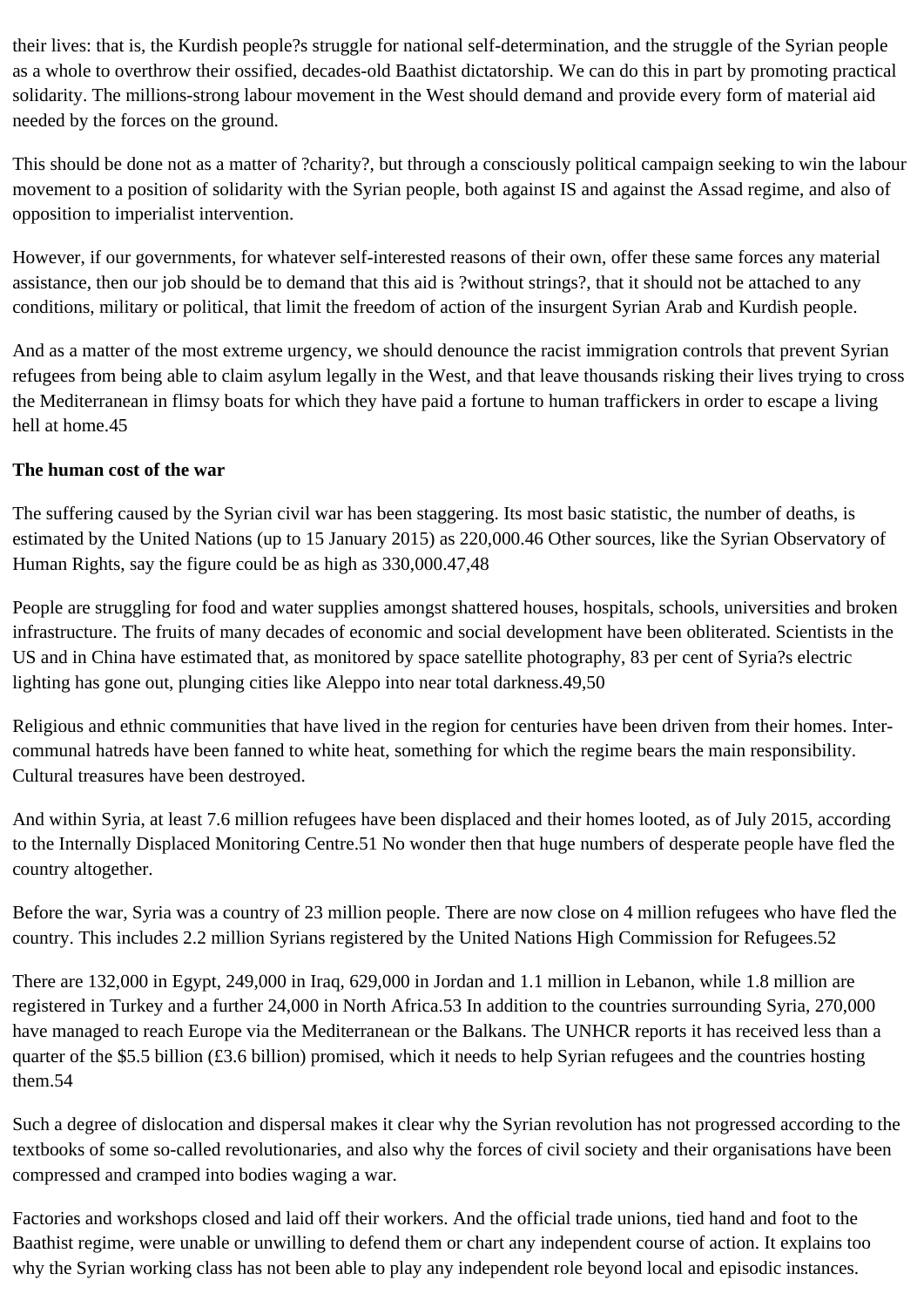their lives: that is, the Kurdish people?s struggle for national self-determination, and the struggle of the Syrian people as a whole to overthrow their ossified, decades-old Baathist dictatorship. We can do this in part by promoting practical solidarity. The millions-strong labour movement in the West should demand and provide every form of material aid needed by the forces on the ground.

This should be done not as a matter of ?charity?, but through a consciously political campaign seeking to win the labour movement to a position of solidarity with the Syrian people, both against IS and against the Assad regime, and also of opposition to imperialist intervention.

However, if our governments, for whatever self-interested reasons of their own, offer these same forces any material assistance, then our job should be to demand that this aid is ?without strings?, that it should not be attached to any conditions, military or political, that limit the freedom of action of the insurgent Syrian Arab and Kurdish people.

And as a matter of the most extreme urgency, we should denounce the racist immigration controls that prevent Syrian refugees from being able to claim asylum legally in the West, and that leave thousands risking their lives trying to cross the Mediterranean in flimsy boats for which they have paid a fortune to human traffickers in order to escape a living hell at home.45

## **The human cost of the war**

The suffering caused by the Syrian civil war has been staggering. Its most basic statistic, the number of deaths, is estimated by the United Nations (up to 15 January 2015) as 220,000.46 Other sources, like the Syrian Observatory of Human Rights, say the figure could be as high as 330,000.47,48

People are struggling for food and water supplies amongst shattered houses, hospitals, schools, universities and broken infrastructure. The fruits of many decades of economic and social development have been obliterated. Scientists in the US and in China have estimated that, as monitored by space satellite photography, 83 per cent of Syria?s electric lighting has gone out, plunging cities like Aleppo into near total darkness.49,50

Religious and ethnic communities that have lived in the region for centuries have been driven from their homes. Intercommunal hatreds have been fanned to white heat, something for which the regime bears the main responsibility. Cultural treasures have been destroyed.

And within Syria, at least 7.6 million refugees have been displaced and their homes looted, as of July 2015, according to the Internally Displaced Monitoring Centre.51 No wonder then that huge numbers of desperate people have fled the country altogether.

Before the war, Syria was a country of 23 million people. There are now close on 4 million refugees who have fled the country. This includes 2.2 million Syrians registered by the United Nations High Commission for Refugees.52

There are 132,000 in Egypt, 249,000 in Iraq, 629,000 in Jordan and 1.1 million in Lebanon, while 1.8 million are registered in Turkey and a further 24,000 in North Africa.53 In addition to the countries surrounding Syria, 270,000 have managed to reach Europe via the Mediterranean or the Balkans. The UNHCR reports it has received less than a quarter of the \$5.5 billion (£3.6 billion) promised, which it needs to help Syrian refugees and the countries hosting them.54

Such a degree of dislocation and dispersal makes it clear why the Syrian revolution has not progressed according to the textbooks of some so-called revolutionaries, and also why the forces of civil society and their organisations have been compressed and cramped into bodies waging a war.

Factories and workshops closed and laid off their workers. And the official trade unions, tied hand and foot to the Baathist regime, were unable or unwilling to defend them or chart any independent course of action. It explains too why the Syrian working class has not been able to play any independent role beyond local and episodic instances.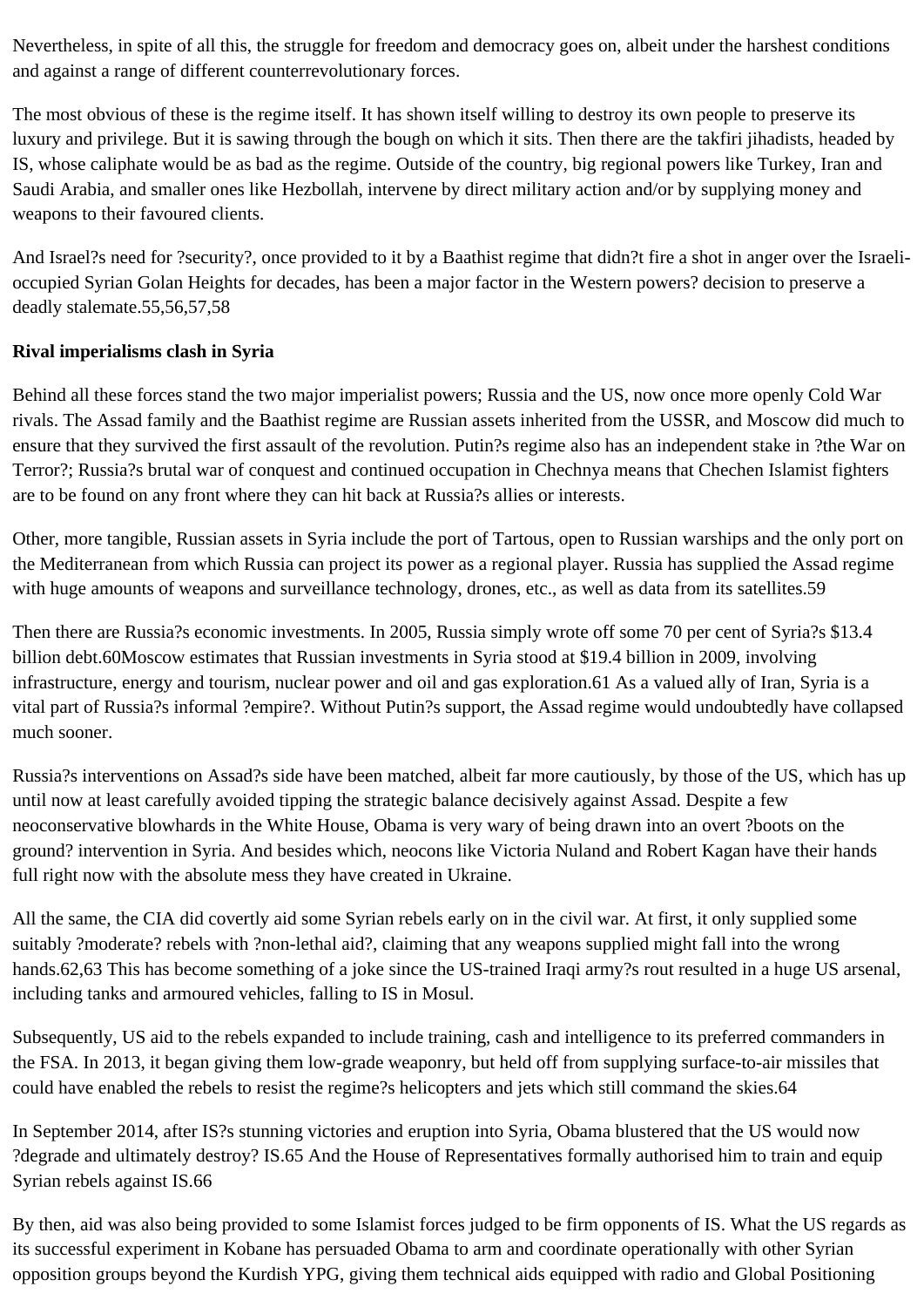Nevertheless, in spite of all this, the struggle for freedom and democracy goes on, albeit under the harshest conditions and against a range of different counterrevolutionary forces.

The most obvious of these is the regime itself. It has shown itself willing to destroy its own people to preserve its luxury and privilege. But it is sawing through the bough on which it sits. Then there are the takfiri jihadists, headed by IS, whose caliphate would be as bad as the regime. Outside of the country, big regional powers like Turkey, Iran and Saudi Arabia, and smaller ones like Hezbollah, intervene by direct military action and/or by supplying money and weapons to their favoured clients.

And Israel?s need for ?security?, once provided to it by a Baathist regime that didn?t fire a shot in anger over the Israelioccupied Syrian Golan Heights for decades, has been a major factor in the Western powers? decision to preserve a deadly stalemate.55,56,57,58

## **Rival imperialisms clash in Syria**

Behind all these forces stand the two major imperialist powers; Russia and the US, now once more openly Cold War rivals. The Assad family and the Baathist regime are Russian assets inherited from the USSR, and Moscow did much to ensure that they survived the first assault of the revolution. Putin?s regime also has an independent stake in ?the War on Terror?; Russia?s brutal war of conquest and continued occupation in Chechnya means that Chechen Islamist fighters are to be found on any front where they can hit back at Russia?s allies or interests.

Other, more tangible, Russian assets in Syria include the port of Tartous, open to Russian warships and the only port on the Mediterranean from which Russia can project its power as a regional player. Russia has supplied the Assad regime with huge amounts of weapons and surveillance technology, drones, etc., as well as data from its satellites.59

Then there are Russia?s economic investments. In 2005, Russia simply wrote off some 70 per cent of Syria?s \$13.4 billion debt.60Moscow estimates that Russian investments in Syria stood at \$19.4 billion in 2009, involving infrastructure, energy and tourism, nuclear power and oil and gas exploration.61 As a valued ally of Iran, Syria is a vital part of Russia?s informal ?empire?. Without Putin?s support, the Assad regime would undoubtedly have collapsed much sooner.

Russia?s interventions on Assad?s side have been matched, albeit far more cautiously, by those of the US, which has up until now at least carefully avoided tipping the strategic balance decisively against Assad. Despite a few neoconservative blowhards in the White House, Obama is very wary of being drawn into an overt ?boots on the ground? intervention in Syria. And besides which, neocons like Victoria Nuland and Robert Kagan have their hands full right now with the absolute mess they have created in Ukraine.

All the same, the CIA did covertly aid some Syrian rebels early on in the civil war. At first, it only supplied some suitably ?moderate? rebels with ?non-lethal aid?, claiming that any weapons supplied might fall into the wrong hands.62,63 This has become something of a joke since the US-trained Iraqi army?s rout resulted in a huge US arsenal, including tanks and armoured vehicles, falling to IS in Mosul.

Subsequently, US aid to the rebels expanded to include training, cash and intelligence to its preferred commanders in the FSA. In 2013, it began giving them low-grade weaponry, but held off from supplying surface-to-air missiles that could have enabled the rebels to resist the regime?s helicopters and jets which still command the skies.64

In September 2014, after IS?s stunning victories and eruption into Syria, Obama blustered that the US would now ?degrade and ultimately destroy? IS.65 And the House of Representatives formally authorised him to train and equip Syrian rebels against IS.66

By then, aid was also being provided to some Islamist forces judged to be firm opponents of IS. What the US regards as its successful experiment in Kobane has persuaded Obama to arm and coordinate operationally with other Syrian opposition groups beyond the Kurdish YPG, giving them technical aids equipped with radio and Global Positioning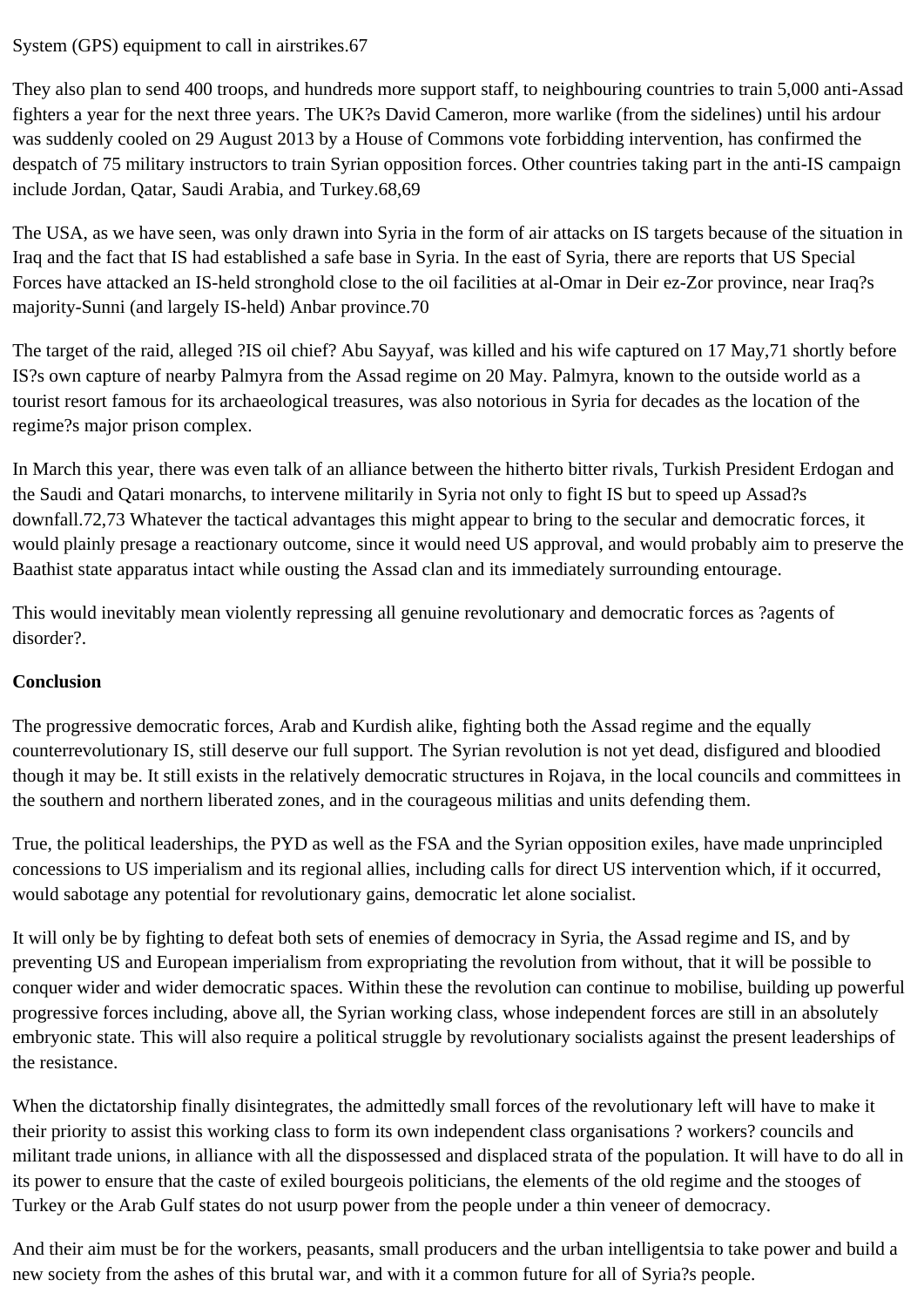## System (GPS) equipment to call in airstrikes.67

They also plan to send 400 troops, and hundreds more support staff, to neighbouring countries to train 5,000 anti-Assad fighters a year for the next three years. The UK?s David Cameron, more warlike (from the sidelines) until his ardour was suddenly cooled on 29 August 2013 by a House of Commons vote forbidding intervention, has confirmed the despatch of 75 military instructors to train Syrian opposition forces. Other countries taking part in the anti-IS campaign include Jordan, Qatar, Saudi Arabia, and Turkey.68,69

The USA, as we have seen, was only drawn into Syria in the form of air attacks on IS targets because of the situation in Iraq and the fact that IS had established a safe base in Syria. In the east of Syria, there are reports that US Special Forces have attacked an IS-held stronghold close to the oil facilities at al-Omar in Deir ez-Zor province, near Iraq?s majority-Sunni (and largely IS-held) Anbar province.70

The target of the raid, alleged ?IS oil chief? Abu Sayyaf, was killed and his wife captured on 17 May,71 shortly before IS?s own capture of nearby Palmyra from the Assad regime on 20 May. Palmyra, known to the outside world as a tourist resort famous for its archaeological treasures, was also notorious in Syria for decades as the location of the regime?s major prison complex.

In March this year, there was even talk of an alliance between the hitherto bitter rivals, Turkish President Erdogan and the Saudi and Qatari monarchs, to intervene militarily in Syria not only to fight IS but to speed up Assad?s downfall.72,73 Whatever the tactical advantages this might appear to bring to the secular and democratic forces, it would plainly presage a reactionary outcome, since it would need US approval, and would probably aim to preserve the Baathist state apparatus intact while ousting the Assad clan and its immediately surrounding entourage.

This would inevitably mean violently repressing all genuine revolutionary and democratic forces as ?agents of disorder?.

## **Conclusion**

The progressive democratic forces, Arab and Kurdish alike, fighting both the Assad regime and the equally counterrevolutionary IS, still deserve our full support. The Syrian revolution is not yet dead, disfigured and bloodied though it may be. It still exists in the relatively democratic structures in Rojava, in the local councils and committees in the southern and northern liberated zones, and in the courageous militias and units defending them.

True, the political leaderships, the PYD as well as the FSA and the Syrian opposition exiles, have made unprincipled concessions to US imperialism and its regional allies, including calls for direct US intervention which, if it occurred, would sabotage any potential for revolutionary gains, democratic let alone socialist.

It will only be by fighting to defeat both sets of enemies of democracy in Syria, the Assad regime and IS, and by preventing US and European imperialism from expropriating the revolution from without, that it will be possible to conquer wider and wider democratic spaces. Within these the revolution can continue to mobilise, building up powerful progressive forces including, above all, the Syrian working class, whose independent forces are still in an absolutely embryonic state. This will also require a political struggle by revolutionary socialists against the present leaderships of the resistance.

When the dictatorship finally disintegrates, the admittedly small forces of the revolutionary left will have to make it their priority to assist this working class to form its own independent class organisations ? workers? councils and militant trade unions, in alliance with all the dispossessed and displaced strata of the population. It will have to do all in its power to ensure that the caste of exiled bourgeois politicians, the elements of the old regime and the stooges of Turkey or the Arab Gulf states do not usurp power from the people under a thin veneer of democracy.

And their aim must be for the workers, peasants, small producers and the urban intelligentsia to take power and build a new society from the ashes of this brutal war, and with it a common future for all of Syria?s people.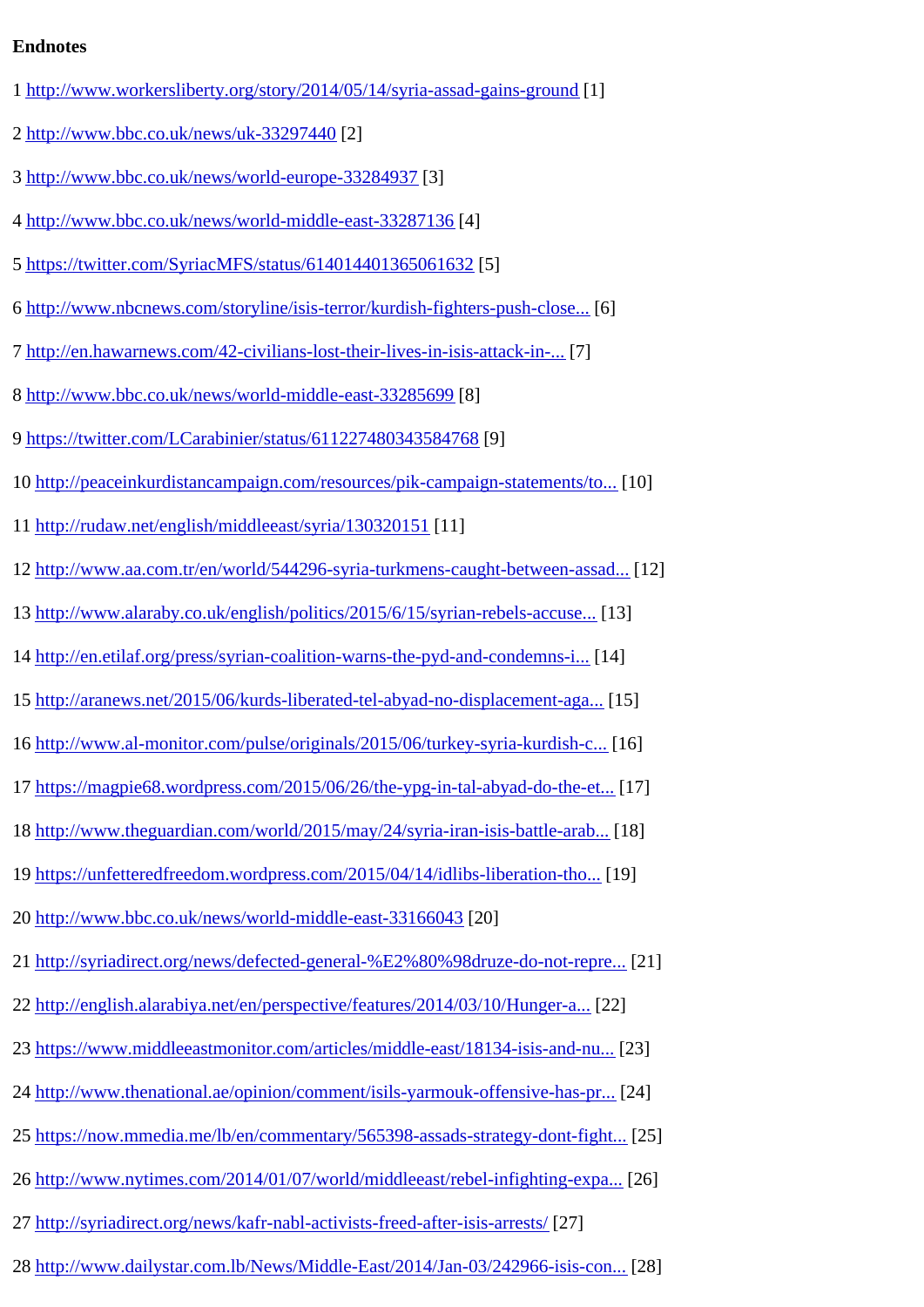- 1 http://www.workersliberty.org/story/2014/05/14/syria-assad-gains-ground
- 2 http://www.bbc.co.uk/news/uk-33297440[2]
- [http://www.bbc.co.uk/news/world-europe-33284937](http://www.workersliberty.org/story/2014/05/14/syria-assad-gains-ground)
- [http://www.bbc.co.uk/news/world-midd](http://www.bbc.co.uk/news/uk-33297440)le-east-332871486
- [https://twitter.com/SyriacMFS/status/614014401](http://www.bbc.co.uk/news/world-europe-33284937)3650616B2
- [http://www.nbcnews.com/storyline/isis-terror/kurdish](http://www.bbc.co.uk/news/world-middle-east-33287136)-fighters-push-cld60...
- [http://en.hawarnews.com/42-civilians-lost-their-lives-in-](https://twitter.com/SyriacMFS/status/614014401365061632)isis-attack- $\overline{17}$ ...
- 8 http://www.bbc.co.uk/news/world-middle-east-332856899
- 9 https://twitter.com/LCarabinier/status/611227480343584968
- [0 http://peaceinkurdistancampaign.com/resources/pik](http://www.bbc.co.uk/news/world-middle-east-33285699)-campaign-statements/to...
- 11 http://rudaw.net/english/middleeast/syria/130320[151]
- [http://www.aa.com.tr/en/world/544296-syria-turkmens-caught-between-](http://peaceinkurdistancampaign.com/resources/pik-campaign-statements/towards-freedom-and-democracy-for-syria-and-all-the-peoples-of-the-middle-east/)a\$\$2d...
- [http://www.alaraby.co.uk/english/politics/2015/6/](http://rudaw.net/english/middleeast/syria/130320151)15/syrian-rebels-accuse...
- [http://en.etilaf.org/press/syrian-coalition-warns-the-pyd-and-condemns-i..](http://www.aa.com.tr/en/world/544296-syria-turkmens-caught-between-assad-pyd-and-daesh).
- [http://aranews.net/2015/06/kurds-liberated-tel-abyad-no-displacemen](http://www.alaraby.co.uk/english/politics/2015/6/15/syrian-rebels-accuse-kurds-of-ethnic-cleansing)t-topla...
- [http://www.al-monitor.com/pulse/originals/2015/06/turkey-syria-kurd](http://en.etilaf.org/press/syrian-coalition-warns-the-pyd-and-condemns-its-crimes.html)ish-t6.
- [https://magpie68.wordpress.com/2015/06/26/the-ypg-in-tal-abyad-do-](http://aranews.net/2015/06/kurds-liberated-tel-abyad-no-displacement-against-arabs-syrian-opposition-figure/)the-et...
- [http://www.theguardian.com/world/2015/may/24/syria-iran-isis-battle-a](http://www.al-monitor.com/pulse/originals/2015/06/turkey-syria-kurdish-corridor-in-the-making-kobane.html)fabl...
- [https://unfetteredfreedom.wordpress.com/2015/04/14/idlibs-liberation-th](https://magpie68.wordpress.com/2015/06/26/the-ypg-in-tal-abyad-do-the-ethnic-cleansing-charges-hold-water/)e...
- 20 http://www.bbc.co.uk/news/world-middle-east-331660203
- [http://syriadirect.org/news/defected-general-%E2%80%98druze-do-n](https://unfetteredfreedom.wordpress.com/2015/04/14/idlibs-liberation-thoroughly-exposed-the-pro-assad-media/)ot-repre...
- [http://english.alarabiya.net/en/perspective/features/2](http://www.bbc.co.uk/news/world-middle-east-33166043)014/03/10/HungePa...
- 23 https://www.middleeastmonitor.com/articles/middle-east/18134-isis-and28...
- [http://www.thenational.ae/opinion/comment/isils-yarmouk-offensive-](http://english.alarabiya.net/en/perspective/features/2014/03/10/Hunger-as-a-weapon-of-war-Yarmouk-Syrians-eat-cats-and-dogs-.html)has-241...
- [https://now.mmedia.me/lb/en/commentary/565398-assads-strategy-don](https://www.middleeastmonitor.com/articles/middle-east/18134-isis-and-nusra-are-one-in-yarmouk-camp)t-f25ht...
- [http://www.nytimes.com/2014/01/07/world/middleeast/rebel-infighting-e](http://www.thenational.ae/opinion/comment/isils-yarmouk-offensive-has-profound-implications)xp26].
- [http://syriadirect.org/news/kafr-nabl-activists-freed-after-isis-arrests/](https://now.mmedia.me/lb/en/commentary/565398-assads-strategy-dont-fight-daesh-direct-it)
- [http://www.dailystar.com.lb/News/Middle-East/2014/Jan-03/242966-isis-](http://www.nytimes.com/2014/01/07/world/middleeast/rebel-infighting-expands-to-eastern-Syrian-city.html) $\Phi$ 88]..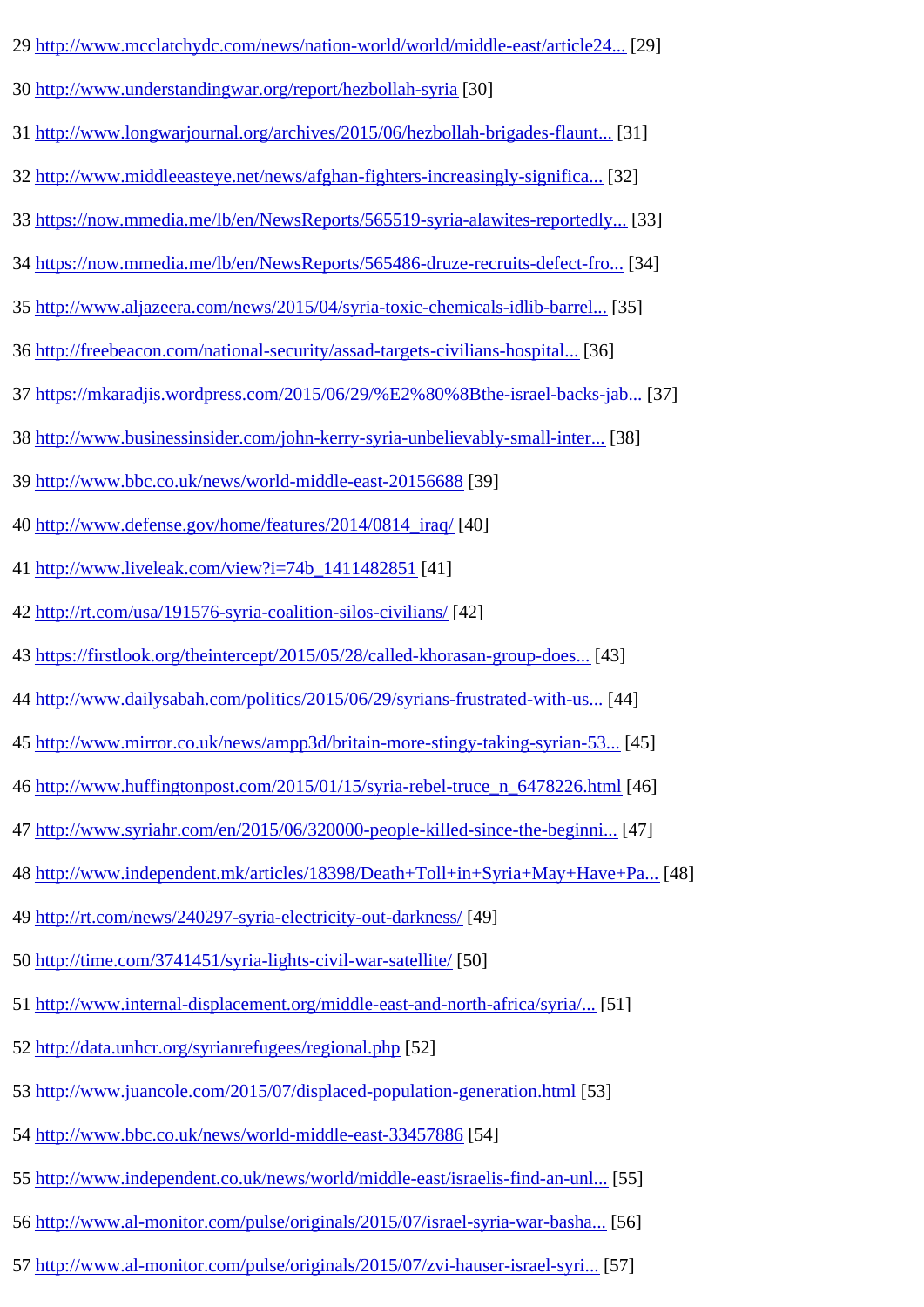- 30 http://www.understandingwar.org/report/hezbollah-s[30]
- 31 http://www.longwarjournal.org/archives/2015/06/hezbollah-brigades-fla[8nt]..
- [http://www.middleeasteye.net/news/afghan-fighters-](http://www.understandingwar.org/report/hezbollah-syria)increasingly-significa...
- [https://now.mmedia.me/lb/en/NewsReports/565519-syria-alawites-repo](http://www.longwarjournal.org/archives/2015/06/hezbollah-brigades-flaunts-us-equipment-in-anbar-operation.php)rt**[33]**...
- [https://now.mmedia.me/lb/en/NewsReports/565486-druze-recruits-de](http://www.middleeasteye.net/news/afghan-fighters-increasingly-significant-player-syrian-battlefield-1394440308)fect344...
- 35 http://www.aljazeera.com/news/2015/04/syria-toxic-chemicals-idlib-bar[655].
- 36 http://freebeacon.com/national-security/assad-targets-civilians-hosp361...
- [https://mkaradjis.wordpress.com/2015/06/29/%E2%80%8Bthe-israel-b](http://www.aljazeera.com/news/2015/04/syria-toxic-chemicals-idlib-barrel-bombings-150414091928799.html)ack\$3ab...
- [http://www.businessinsider.com/john-kerry-syria-unbelievably-sma](http://freebeacon.com/national-security/assad-targets-civilians-hospitals-amid-defeats-in-syrian-war/)ll-inf88].
- [http://www.bbc.co.uk/news/world-middle-east-20156688](https://mkaradjis.wordpress.com/2015/06/29/​the-israel-backs-jabhat-al_nusra-fairy-tale-and-its-deadly-consequences/)9
- 40 http://www.defense.gov/home/features/2014/0814\_**[40]**/
- 41 http://www.liveleak.com/view?i=74b\_141148286411]
- [http://rt.com/usa/191576-syria-coalition-silos-civilian](http://www.defense.gov/home/features/2014/0814_iraq/)\$2]
- [https://firstlook.org/theintercept/2015/05/28/cal](http://www.liveleak.com/view?i=74b_1411482851)led-khorasan-group-d**443.**..
- [http://www.dailysabah.com/politics/2015/06/29/syri](http://rt.com/usa/191576-syria-coalition-silos-civilians/)ans-frustrated-with-[44].
- [http://www.mirror.co.uk/news/ampp3d/britain-more-stingy-taking-syr](https://firstlook.org/theintercept/2015/05/28/called-khorasan-group-doesnt-exist/)ian-545].
- [http://www.huffingtonpost.com/2015/01/15/syria-rebel-truce\\_n\\_64782](http://www.dailysabah.com/politics/2015/06/29/syrians-frustrated-with-us-condition-to-not-prioritize-assad-in-fight)26[46]hl
- [http://www.syriahr.com/en/2015/06/320000-people-killed-since-the-begi](http://www.mirror.co.uk/news/ampp3d/britain-more-stingy-taking-syrian-5319766)ment]..
- [http://www.independent.mk/articles/18398/Death+Toll+in+Syria+May+H](http://www.huffingtonpost.com/2015/01/15/syria-rebel-truce_n_6478226.html)ave+FPa...
- 49 http://rt.com/news/240297-syria-electricity-out-darkness]
- 50 http://time.com/3741451/syria-lights-civil-war-satellif<sub>60</sub>]
- [http://www.internal-displacement.org/middle-east-an](http://rt.com/news/240297-syria-electricity-out-darkness/)d-north-africa/syftal].
- 52 http://data.unhcr.org/syrianrefugees/regional.pmp
- 53 http://www.juancole.com/2015/07/displaced-population-generation[56hl
- [http://www.bbc.co.uk/news/world-middle-eas](http://data.unhcr.org/syrianrefugees/regional.php)t-33457884
- [http://www.independent.co.uk/news/world/middle-east/israelis-find](http://www.juancole.com/2015/07/displaced-population-generation.html)-an-[55]..
- [http://www.al-monitor.com/pulse/originals/2015/07/is](http://www.bbc.co.uk/news/world-middle-east-33457886)rael-syria-war-bas<sup>[56]</sup>...
- 57 http://www.al-monitor.com/pulse/originals/2015/07/zvi-hauser-israel-s $\frac{57}{1}$ .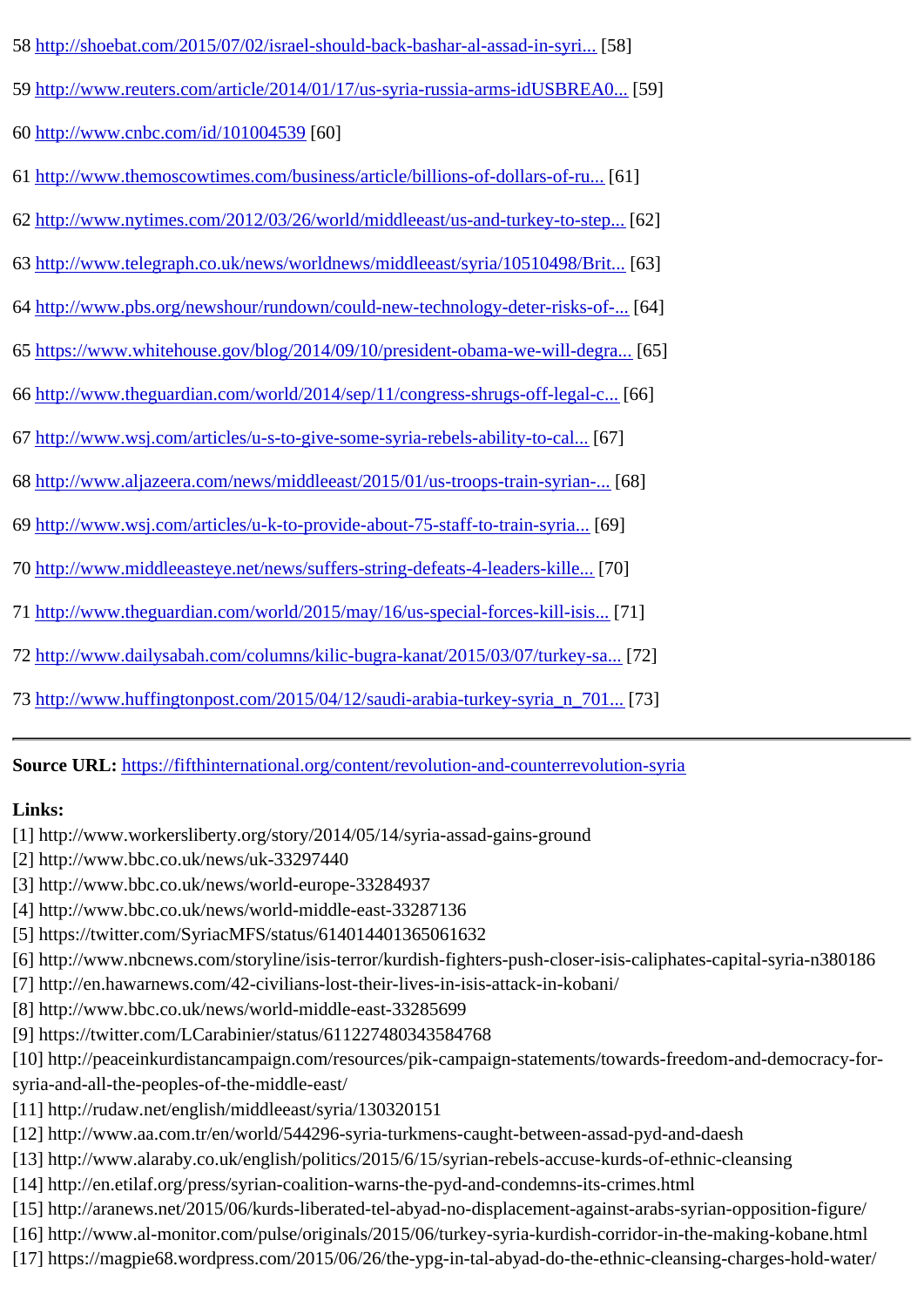59 http://www.reuters.com/article/2014/01/17/us-syria-russia-arms-idUSBRE59...

60 http://www.cnbc.com/id/1010045360]

61 http://www.themoscowtimes.com/business/article/billions-of-dollars-of-f61.

62 [http://www.nytimes.com/2012/03/](http://www.cnbc.com/id/101004539)26/world/middleeast/us-and-turkey-to-step...

63 [http://www.telegraph.co.uk/news/worldnews/middleeast/syria/105104](http://www.themoscowtimes.com/business/article/billions-of-dollars-of-russian-business-suffers-along-with-syria/443078.html)98/Br31...

64 [http://www.pbs.org/newshour/rundown/could-new-technology-deter-risks](http://www.nytimes.com/2012/03/26/world/middleeast/us-and-turkey-to-step-up-nonlethal-aid-to-syrian-rebels.html)-[64]..

65 [https://www.whitehouse.gov/blog/2014/09/10/president-obama-we-will-d](http://www.telegraph.co.uk/news/worldnews/middleeast/syria/10510498/Britain-and-US-suspend-non-lethal-aid-to-Syrian-rebels.html)e@fal...

66 http://www.theguardian.com/world/2014/sep/11/congress-shrugs-off-legioed...

67 http://www.wsj.com/articles/u-s-to-give-some-syria-rebels-ability-to-d6 $Z$ ].

68 [http://www.aljazeera.com/news/middleeast/2015/01/us-troops-train-syri](http://www.theguardian.com/world/2014/sep/11/congress-shrugs-off-legal-concerns-obama-isis)68}...

69 [http://www.wsj.com/articles/u-k-to-provide-about-75-staff-to-train-sy](http://www.wsj.com/articles/u-s-to-give-some-syria-rebels-ability-to-call-airstrikes-1424208053)r[69]

70 http://www.middleeasteye.net/news/suffers-string-defeats-4-leaders-k704...

71 [http://www.theguardian.com/world/2015/may/16/us-special-forces-k](http://www.wsj.com/articles/u-k-to-provide-about-75-staff-to-train-syrian-opposition-forces-against-isis-1427370762)ill-i\$79.].

72 [http://www.dailysabah.com/columns/kilic-bugra-kanat/2015/03/07/tur](http://www.middleeasteye.net/news/suffers-string-defeats-4-leaders-killed-us-troops-syria-1359337274)keyF32...

73 [http://www.huffingtonpost.com/2015/04/12/saudi-arabia-turkey-syria\\_n](http://www.theguardian.com/world/2015/may/16/us-special-forces-kill-isis-commander-wife-syria)\_7031..

Source URL: [https://fifthinternational.org/content/revolution-and-counterrev](http://www.huffingtonpost.com/2015/04/12/saudi-arabia-turkey-syria_n_7012268.html)olution-syria

Links:

- [1] http://ww[w.workersliberty.org/story/2014/05/14/syria-assad-gains-ground](https://fifthinternational.org/content/revolution-and-counterrevolution-syria)
- [2] http://www.bbc.co.uk/news/uk-33297440

## [3] http://www.bbc.co.uk/news/world-europe-33284937

- [4] http://www.bbc.co.uk/news/world-middle-east-33287136
- [5] https://twitter.com/SyriacMFS/status/614014401365061632

[6] http://www.nbcnews.com/storyline/isis-terror/kurdish-fighters-push-closer-isis-caliphates-capital-syria-n380186

- [7] http://en.hawarnews.com/42-civilians-lost-their-lives-in-isis-attack-in-kobani/
- [8] http://www.bbc.co.uk/news/world-middle-east-33285699
- [9] https://twitter.com/LCarabinier/status/611227480343584768
- [10] http://peaceinkurdistancampaign.com/resources/pik-campaign-statements/towards-freedom-and-democracy-f syria-and-all-the-peoples-of-the-middle-east/
- [11] http://rudaw.net/english/middleeast/syria/130320151
- [12] http://www.aa.com.tr/en/world/544296-syria-turkmens-caught-between-assad-pyd-and-daesh
- [13] http://www.alaraby.co.uk/english/politics/2015/6/15/syrian-rebels-accuse-kurds-of-ethnic-cleansing
- [14] http://en.etilaf.org/press/syrian-coalition-warns-the-pyd-and-condemns-its-crimes.html
- [15] http://aranews.net/2015/06/kurds-liberated-tel-abyad-no-displacement-against-arabs-syrian-opposition-figure/
- [16] http://www.al-monitor.com/pulse/originals/2015/06/turkey-syria-kurdish-corridor-in-the-making-kobane.html
- [17] https://magpie68.wordpress.com/2015/06/26/the-ypg-in-tal-abyad-do-the-ethnic-cleansing-charges-hold-water/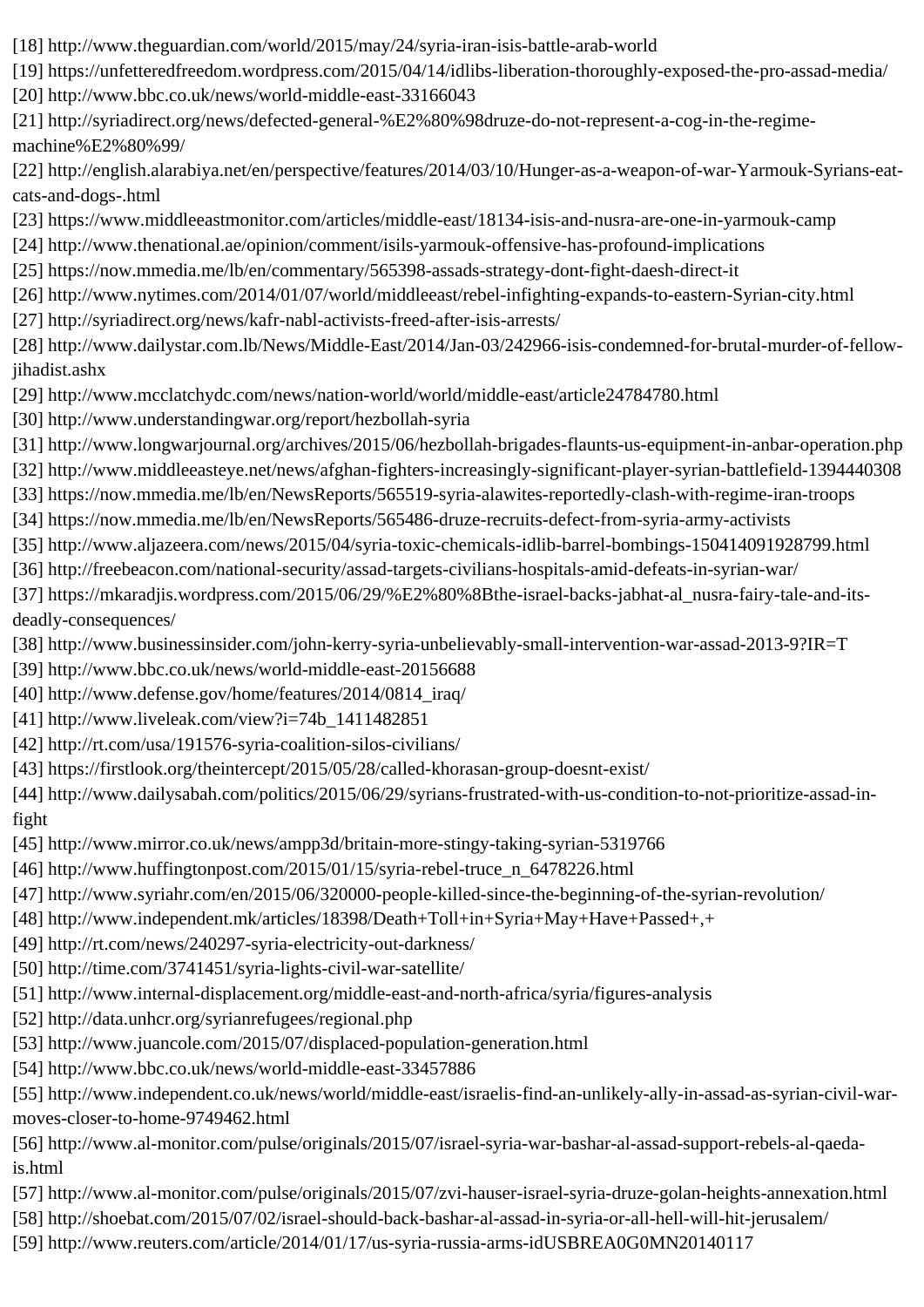- [18] http://www.theguardian.com/world/2015/may/24/syria-iran-isis-battle-arab-world
- [19] https://unfetteredfreedom.wordpress.com/2015/04/14/idlibs-liberation-thoroughly-exposed-the-pro-assad-media/
- [20] http://www.bbc.co.uk/news/world-middle-east-33166043
- [21] http://syriadirect.org/news/defected-general-%E2%80%98druze-do-not-represent-a-cog-in-the-regimemachine%E2%80%99/
- [22] http://english.alarabiya.net/en/perspective/features/2014/03/10/Hunger-as-a-weapon-of-war-Yarmouk-Syrians-eatcats-and-dogs-.html
- [23] https://www.middleeastmonitor.com/articles/middle-east/18134-isis-and-nusra-are-one-in-yarmouk-camp
- [24] http://www.thenational.ae/opinion/comment/isils-yarmouk-offensive-has-profound-implications
- [25] https://now.mmedia.me/lb/en/commentary/565398-assads-strategy-dont-fight-daesh-direct-it
- [26] http://www.nytimes.com/2014/01/07/world/middleeast/rebel-infighting-expands-to-eastern-Syrian-city.html
- [27] http://syriadirect.org/news/kafr-nabl-activists-freed-after-isis-arrests/
- [28] http://www.dailystar.com.lb/News/Middle-East/2014/Jan-03/242966-isis-condemned-for-brutal-murder-of-fellowjihadist.ashx
- [29] http://www.mcclatchydc.com/news/nation-world/world/middle-east/article24784780.html
- [30] http://www.understandingwar.org/report/hezbollah-syria
- [31] http://www.longwarjournal.org/archives/2015/06/hezbollah-brigades-flaunts-us-equipment-in-anbar-operation.php
- [32] http://www.middleeasteye.net/news/afghan-fighters-increasingly-significant-player-syrian-battlefield-1394440308
- [33] https://now.mmedia.me/lb/en/NewsReports/565519-syria-alawites-reportedly-clash-with-regime-iran-troops [34] https://now.mmedia.me/lb/en/NewsReports/565486-druze-recruits-defect-from-syria-army-activists
- [35] http://www.aljazeera.com/news/2015/04/syria-toxic-chemicals-idlib-barrel-bombings-150414091928799.html
- [36] http://freebeacon.com/national-security/assad-targets-civilians-hospitals-amid-defeats-in-syrian-war/
- [37] https://mkaradjis.wordpress.com/2015/06/29/%E2%80%8Bthe-israel-backs-jabhat-al\_nusra-fairy-tale-and-itsdeadly-consequences/
- [38] http://www.businessinsider.com/john-kerry-syria-unbelievably-small-intervention-war-assad-2013-9?IR=T
- [39] http://www.bbc.co.uk/news/world-middle-east-20156688
- [40] http://www.defense.gov/home/features/2014/0814\_iraq/
- [41] http://www.liveleak.com/view?i=74b\_1411482851
- [42] http://rt.com/usa/191576-syria-coalition-silos-civilians/
- [43] https://firstlook.org/theintercept/2015/05/28/called-khorasan-group-doesnt-exist/
- [44] http://www.dailysabah.com/politics/2015/06/29/syrians-frustrated-with-us-condition-to-not-prioritize-assad-infight
- [45] http://www.mirror.co.uk/news/ampp3d/britain-more-stingy-taking-syrian-5319766
- [46] http://www.huffingtonpost.com/2015/01/15/syria-rebel-truce\_n\_6478226.html
- [47] http://www.syriahr.com/en/2015/06/320000-people-killed-since-the-beginning-of-the-syrian-revolution/
- [48] http://www.independent.mk/articles/18398/Death+Toll+in+Syria+May+Have+Passed+,+
- [49] http://rt.com/news/240297-syria-electricity-out-darkness/
- [50] http://time.com/3741451/syria-lights-civil-war-satellite/
- [51] http://www.internal-displacement.org/middle-east-and-north-africa/syria/figures-analysis
- [52] http://data.unhcr.org/syrianrefugees/regional.php
- [53] http://www.juancole.com/2015/07/displaced-population-generation.html
- [54] http://www.bbc.co.uk/news/world-middle-east-33457886
- [55] http://www.independent.co.uk/news/world/middle-east/israelis-find-an-unlikely-ally-in-assad-as-syrian-civil-warmoves-closer-to-home-9749462.html
- [56] http://www.al-monitor.com/pulse/originals/2015/07/israel-syria-war-bashar-al-assad-support-rebels-al-qaedais.html
- [57] http://www.al-monitor.com/pulse/originals/2015/07/zvi-hauser-israel-syria-druze-golan-heights-annexation.html
- [58] http://shoebat.com/2015/07/02/israel-should-back-bashar-al-assad-in-syria-or-all-hell-will-hit-jerusalem/
- [59] http://www.reuters.com/article/2014/01/17/us-syria-russia-arms-idUSBREA0G0MN20140117